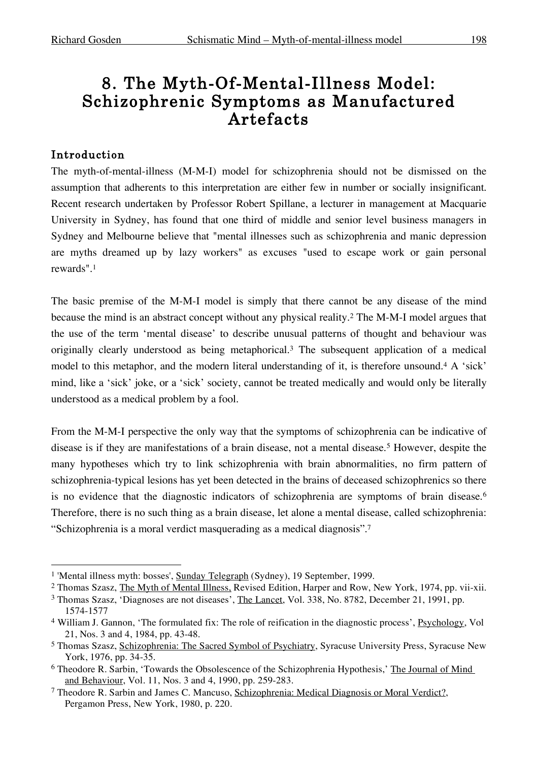# 8. The Myth-Of-Mental-Illness Model: Schizophrenic Symptoms as Manufactured Artefacts

#### Introduction

The myth-of-mental-illness (M-M-I) model for schizophrenia should not be dismissed on the assumption that adherents to this interpretation are either few in number or socially insignificant. Recent research undertaken by Professor Robert Spillane, a lecturer in management at Macquarie University in Sydney, has found that one third of middle and senior level business managers in Sydney and Melbourne believe that "mental illnesses such as schizophrenia and manic depression are myths dreamed up by lazy workers" as excuses "used to escape work or gain personal rewards". 1

The basic premise of the M-M-I model is simply that there cannot be any disease of the mind because the mind is an abstract concept without any physical reality.2 The M-M-I model argues that the use of the term 'mental disease' to describe unusual patterns of thought and behaviour was originally clearly understood as being metaphorical. <sup>3</sup> The subsequent application of a medical model to this metaphor, and the modern literal understanding of it, is therefore unsound.<sup>4</sup> A 'sick' mind, like a 'sick' joke, or a 'sick' society, cannot be treated medically and would only be literally understood as a medical problem by a fool.

From the M-M-I perspective the only way that the symptoms of schizophrenia can be indicative of disease is if they are manifestations of a brain disease, not a mental disease.<sup>5</sup> However, despite the many hypotheses which try to link schizophrenia with brain abnormalities, no firm pattern of schizophrenia-typical lesions has yet been detected in the brains of deceased schizophrenics so there is no evidence that the diagnostic indicators of schizophrenia are symptoms of brain disease.<sup>6</sup> Therefore, there is no such thing as a brain disease, let alone a mental disease, called schizophrenia: "Schizophrenia is a moral verdict masquerading as a medical diagnosis". 7

 <sup>1</sup> 'Mental illness myth: bosses', Sunday Telegraph (Sydney), <sup>19</sup> September, 1999.

<sup>&</sup>lt;sup>2</sup> Thomas Szasz, The Myth of Mental Illness, Revised Edition, Harper and Row, New York, 1974, pp. vii-xii.

<sup>3</sup> Thomas Szasz, 'Diagnoses are not diseases', The Lancet, Vol. 338, No. 8782, December 21, 1991, pp. 1574-1577

<sup>&</sup>lt;sup>4</sup> William J. Gannon, 'The formulated fix: The role of reification in the diagnostic process', Psychology, Vol 21, Nos. 3 and 4, 1984, pp. 43-48.

<sup>5</sup> Thomas Szasz, Schizophrenia: The Sacred Symbol of Psychiatry, Syracuse University Press, Syracuse New York, 1976, pp. 34-35.

<sup>6</sup> Theodore R. Sarbin, 'Towards the Obsolescence of the Schizophrenia Hypothesis,' The Journal of Mind and Behaviour, Vol. 11, Nos. 3 and 4, 1990, pp. 259-283.

<sup>7</sup> Theodore R. Sarbin and James C. Mancuso, Schizophrenia: Medical Diagnosis or Moral Verdict?, Pergamon Press, New York, 1980, p. 220.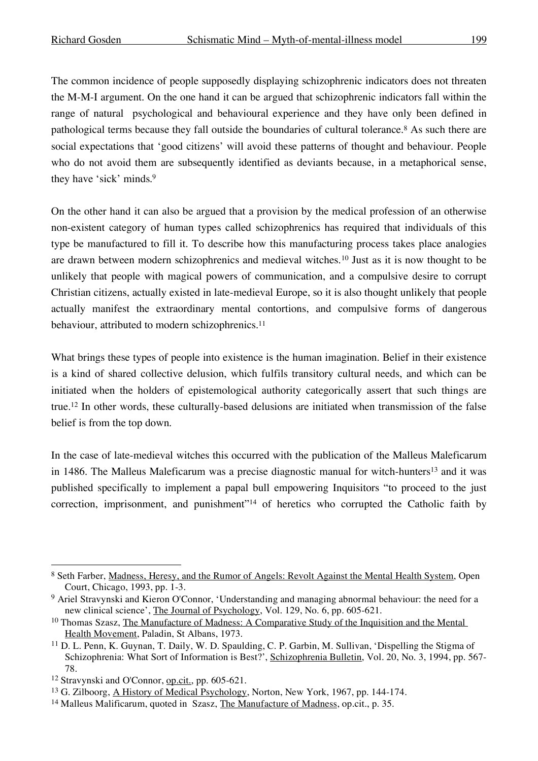The common incidence of people supposedly displaying schizophrenic indicators does not threaten the M-M-I argument. On the one hand it can be argued that schizophrenic indicators fall within the range of natural psychological and behavioural experience and they have only been defined in pathological terms because they fall outside the boundaries of cultural tolerance.8 As such there are social expectations that 'good citizens' will avoid these patterns of thought and behaviour. People who do not avoid them are subsequently identified as deviants because, in a metaphorical sense, they have 'sick' minds. 9

On the other hand it can also be argued that a provision by the medical profession of an otherwise non-existent category of human types called schizophrenics has required that individuals of this type be manufactured to fill it. To describe how this manufacturing process takes place analogies are drawn between modern schizophrenics and medieval witches.10 Just as it is now thought to be unlikely that people with magical powers of communication, and a compulsive desire to corrupt Christian citizens, actually existed in late-medieval Europe, so it is also thought unlikely that people actually manifest the extraordinary mental contortions, and compulsive forms of dangerous behaviour, attributed to modern schizophrenics.<sup>11</sup>

What brings these types of people into existence is the human imagination. Belief in their existence is a kind of shared collective delusion, which fulfils transitory cultural needs, and which can be initiated when the holders of epistemological authority categorically assert that such things are true. <sup>12</sup> In other words, these culturally-based delusions are initiated when transmission of the false belief is from the top down.

In the case of late-medieval witches this occurred with the publication of the Malleus Maleficarum in 1486. The Malleus Maleficarum was a precise diagnostic manual for witch-hunters13 and it was published specifically to implement a papal bull empowering Inquisitors "to proceed to the just correction, imprisonment, and punishment"14 of heretics who corrupted the Catholic faith by

<sup>8</sup> Seth Farber, Madness, Heresy, and the Rumor of Angels: Revolt Against the Mental Health System, Open Court, Chicago, 1993, pp. 1-3.

<sup>9</sup> Ariel Stravynski and Kieron O'Connor, 'Understanding and managing abnormal behaviour: the need for a new clinical science', The Journal of Psychology, Vol. 129, No. 6, pp. 605-621.

<sup>&</sup>lt;sup>10</sup> Thomas Szasz, The Manufacture of Madness: A Comparative Study of the Inquisition and the Mental Health Movement, Paladin, St Albans, 1973.

<sup>11</sup> D. L. Penn, K. Guynan, T. Daily, W. D. Spaulding, C. P. Garbin, M. Sullivan, 'Dispelling the Stigma of Schizophrenia: What Sort of Information is Best?', Schizophrenia Bulletin, Vol. 20, No. 3, 1994, pp. 567- 78.

<sup>12</sup> Stravynski and O'Connor, op.cit., pp. 605-621.

<sup>&</sup>lt;sup>13</sup> G. Zilboorg, <u>A History of Medical Psychology</u>, Norton, New York, 1967, pp. 144-174.

<sup>&</sup>lt;sup>14</sup> Malleus Malificarum, quoted in Szasz, The Manufacture of Madness, op.cit., p. 35.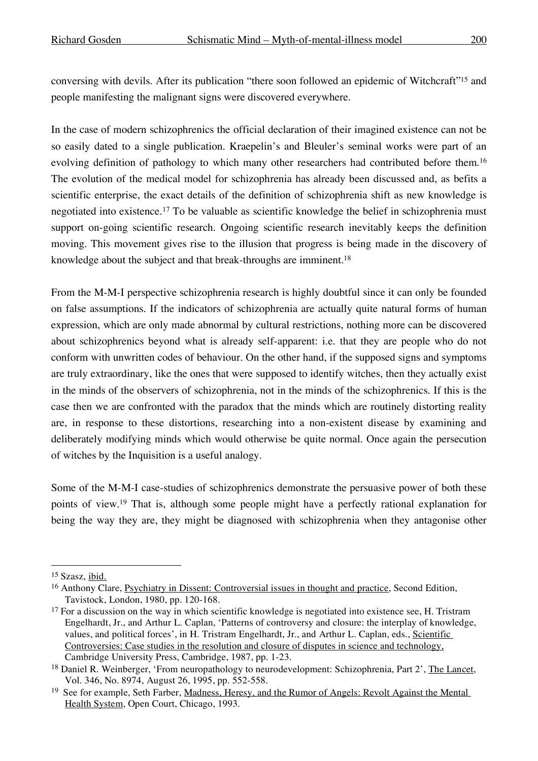conversing with devils. After its publication "there soon followed an epidemic of Witchcraft"15 and people manifesting the malignant signs were discovered everywhere.

In the case of modern schizophrenics the official declaration of their imagined existence can not be so easily dated to a single publication. Kraepelin's and Bleuler's seminal works were part of an evolving definition of pathology to which many other researchers had contributed before them.<sup>16</sup> The evolution of the medical model for schizophrenia has already been discussed and, as befits a scientific enterprise, the exact details of the definition of schizophrenia shift as new knowledge is negotiated into existence.17 To be valuable as scientific knowledge the belief in schizophrenia must support on-going scientific research. Ongoing scientific research inevitably keeps the definition moving. This movement gives rise to the illusion that progress is being made in the discovery of knowledge about the subject and that break-throughs are imminent.<sup>18</sup>

From the M-M-I perspective schizophrenia research is highly doubtful since it can only be founded on false assumptions. If the indicators of schizophrenia are actually quite natural forms of human expression, which are only made abnormal by cultural restrictions, nothing more can be discovered about schizophrenics beyond what is already self-apparent: i.e. that they are people who do not conform with unwritten codes of behaviour. On the other hand, if the supposed signs and symptoms are truly extraordinary, like the ones that were supposed to identify witches, then they actually exist in the minds of the observers of schizophrenia, not in the minds of the schizophrenics. If this is the case then we are confronted with the paradox that the minds which are routinely distorting reality are, in response to these distortions, researching into a non-existent disease by examining and deliberately modifying minds which would otherwise be quite normal. Once again the persecution of witches by the Inquisition is a useful analogy.

Some of the M-M-I case-studies of schizophrenics demonstrate the persuasive power of both these points of view. <sup>19</sup> That is, although some people might have a perfectly rational explanation for being the way they are, they might be diagnosed with schizophrenia when they antagonise other

 <sup>15</sup> Szasz, ibid.

<sup>&</sup>lt;sup>16</sup> Anthony Clare, Psychiatry in Dissent: Controversial issues in thought and practice, Second Edition, Tavistock, London, 1980, pp. 120-168.

 $17$  For a discussion on the way in which scientific knowledge is negotiated into existence see, H. Tristram Engelhardt, Jr., and Arthur L. Caplan, 'Patterns of controversy and closure: the interplay of knowledge, values, and political forces', in H. Tristram Engelhardt, Jr., and Arthur L. Caplan, eds., Scientific Controversies: Case studies in the resolution and closure of disputes in science and technology, Cambridge University Press, Cambridge, 1987, pp. 1-23.

<sup>&</sup>lt;sup>18</sup> Daniel R. Weinberger, 'From neuropathology to neurodevelopment: Schizophrenia, Part 2', The Lancet, Vol. 346, No. 8974, August 26, 1995, pp. 552-558.

<sup>&</sup>lt;sup>19</sup> See for example, Seth Farber, Madness, Heresy, and the Rumor of Angels: Revolt Against the Mental Health System, Open Court, Chicago, 1993.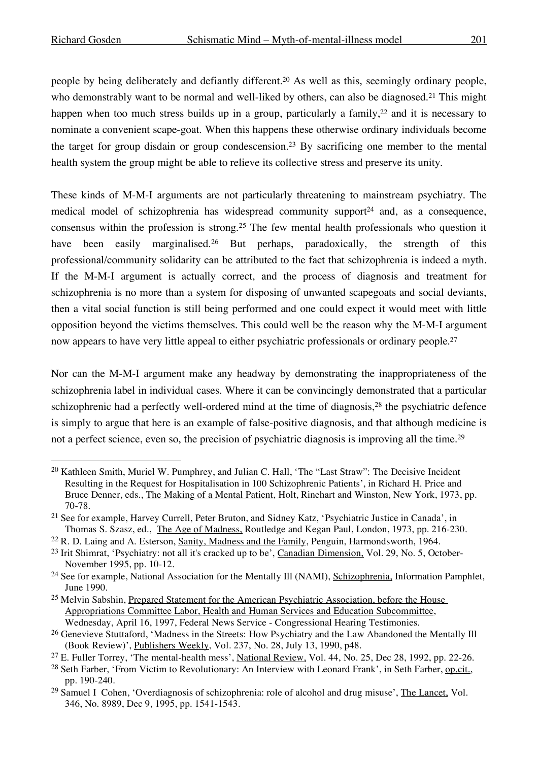people by being deliberately and defiantly different. <sup>20</sup> As well as this, seemingly ordinary people, who demonstrably want to be normal and well-liked by others, can also be diagnosed.<sup>21</sup> This might happen when too much stress builds up in a group, particularly a family,  $2^2$  and it is necessary to nominate a convenient scape-goat. When this happens these otherwise ordinary individuals become the target for group disdain or group condescension.23 By sacrificing one member to the mental health system the group might be able to relieve its collective stress and preserve its unity.

These kinds of M-M-I arguments are not particularly threatening to mainstream psychiatry. The medical model of schizophrenia has widespread community support $24$  and, as a consequence, consensus within the profession is strong.25 The few mental health professionals who question it have been easily marginalised.<sup>26</sup> But perhaps, paradoxically, the strength of this professional/community solidarity can be attributed to the fact that schizophrenia is indeed a myth. If the M-M-I argument is actually correct, and the process of diagnosis and treatment for schizophrenia is no more than a system for disposing of unwanted scapegoats and social deviants, then a vital social function is still being performed and one could expect it would meet with little opposition beyond the victims themselves. This could well be the reason why the M-M-I argument now appears to have very little appeal to either psychiatric professionals or ordinary people.<sup>27</sup>

Nor can the M-M-I argument make any headway by demonstrating the inappropriateness of the schizophrenia label in individual cases. Where it can be convincingly demonstrated that a particular schizophrenic had a perfectly well-ordered mind at the time of diagnosis,<sup>28</sup> the psychiatric defence is simply to argue that here is an example of false-positive diagnosis, and that although medicine is not a perfect science, even so, the precision of psychiatric diagnosis is improving all the time.<sup>29</sup>

 <sup>20</sup> Kathleen Smith, Muriel W. Pumphrey, and Julian C. Hall, 'The "Last Straw": The Decisive Incident Resulting in the Request for Hospitalisation in 100 Schizophrenic Patients', in Richard H. Price and Bruce Denner, eds., The Making of a Mental Patient, Holt, Rinehart and Winston, New York, 1973, pp. 70-78.

<sup>21</sup> See for example, Harvey Currell, Peter Bruton, and Sidney Katz, 'Psychiatric Justice in Canada', in Thomas S. Szasz, ed., The Age of Madness, Routledge and Kegan Paul, London, 1973, pp. 216-230.

<sup>&</sup>lt;sup>22</sup> R. D. Laing and A. Esterson, Sanity, Madness and the Family, Penguin, Harmondsworth, 1964.

<sup>&</sup>lt;sup>23</sup> Irit Shimrat, 'Psychiatry: not all it's cracked up to be', Canadian Dimension, Vol. 29, No. 5, October-November 1995, pp. 10-12.

<sup>&</sup>lt;sup>24</sup> See for example, National Association for the Mentally Ill (NAMI), Schizophrenia, Information Pamphlet, June 1990.

<sup>&</sup>lt;sup>25</sup> Melvin Sabshin, Prepared Statement for the American Psychiatric Association, before the House Appropriations Committee Labor, Health and Human Services and Education Subcommittee, Wednesday, April 16, 1997, Federal News Service - Congressional Hearing Testimonies.

<sup>&</sup>lt;sup>26</sup> Genevieve Stuttaford, 'Madness in the Streets: How Psychiatry and the Law Abandoned the Mentally Ill (Book Review)', Publishers Weekly, Vol. 237, No. 28, July 13, 1990, p48.

<sup>&</sup>lt;sup>27</sup> E. Fuller Torrey, 'The mental-health mess', National Review, Vol. 44, No. 25, Dec 28, 1992, pp. 22-26.

<sup>28</sup> Seth Farber, 'From Victim to Revolutionary: An Interview with Leonard Frank', in Seth Farber, op.cit., pp. 190-240.

<sup>&</sup>lt;sup>29</sup> Samuel I Cohen, 'Overdiagnosis of schizophrenia: role of alcohol and drug misuse', The Lancet, Vol. 346, No. 8989, Dec 9, 1995, pp. 1541-1543.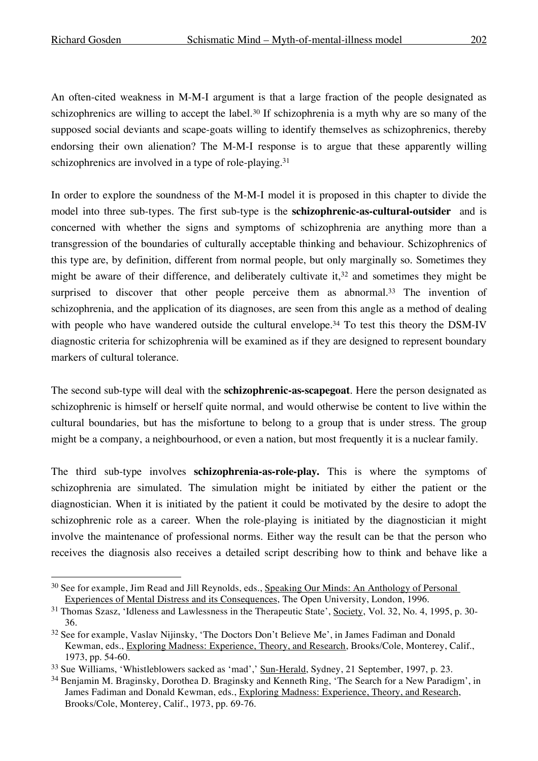An often-cited weakness in M-M-I argument is that a large fraction of the people designated as schizophrenics are willing to accept the label.<sup>30</sup> If schizophrenia is a myth why are so many of the supposed social deviants and scape-goats willing to identify themselves as schizophrenics, thereby endorsing their own alienation? The M-M-I response is to argue that these apparently willing schizophrenics are involved in a type of role-playing.<sup>31</sup>

In order to explore the soundness of the M-M-I model it is proposed in this chapter to divide the model into three sub-types. The first sub-type is the **schizophrenic-as-cultural-outsider** and is concerned with whether the signs and symptoms of schizophrenia are anything more than a transgression of the boundaries of culturally acceptable thinking and behaviour. Schizophrenics of this type are, by definition, different from normal people, but only marginally so. Sometimes they might be aware of their difference, and deliberately cultivate it,<sup>32</sup> and sometimes they might be surprised to discover that other people perceive them as abnormal.<sup>33</sup> The invention of schizophrenia, and the application of its diagnoses, are seen from this angle as a method of dealing with people who have wandered outside the cultural envelope.<sup>34</sup> To test this theory the DSM-IV diagnostic criteria for schizophrenia will be examined as if they are designed to represent boundary markers of cultural tolerance.

The second sub-type will deal with the **schizophrenic-as-scapegoat**. Here the person designated as schizophrenic is himself or herself quite normal, and would otherwise be content to live within the cultural boundaries, but has the misfortune to belong to a group that is under stress. The group might be a company, a neighbourhood, or even a nation, but most frequently it is a nuclear family.

The third sub-type involves **schizophrenia-as-role-play.** This is where the symptoms of schizophrenia are simulated. The simulation might be initiated by either the patient or the diagnostician. When it is initiated by the patient it could be motivated by the desire to adopt the schizophrenic role as a career. When the role-playing is initiated by the diagnostician it might involve the maintenance of professional norms. Either way the result can be that the person who receives the diagnosis also receives a detailed script describing how to think and behave like a

<sup>&</sup>lt;sup>30</sup> See for example, Jim Read and Jill Reynolds, eds., Speaking Our Minds: An Anthology of Personal Experiences of Mental Distress and its Consequences, The Open University, London, 1996.

<sup>&</sup>lt;sup>31</sup> Thomas Szasz, 'Idleness and Lawlessness in the Therapeutic State', Society, Vol. 32, No. 4, 1995, p. 30-36.

<sup>32</sup> See for example, Vaslav Nijinsky, 'The Doctors Don't Believe Me', in James Fadiman and Donald Kewman, eds., Exploring Madness: Experience, Theory, and Research, Brooks/Cole, Monterey, Calif., 1973, pp. 54-60.

<sup>33</sup> Sue Williams, 'Whistleblowers sacked as 'mad',' Sun-Herald, Sydney, 21 September, 1997, p. 23.

<sup>34</sup> Benjamin M. Braginsky, Dorothea D. Braginsky and Kenneth Ring, 'The Search for a New Paradigm', in James Fadiman and Donald Kewman, eds., Exploring Madness: Experience, Theory, and Research, Brooks/Cole, Monterey, Calif., 1973, pp. 69-76.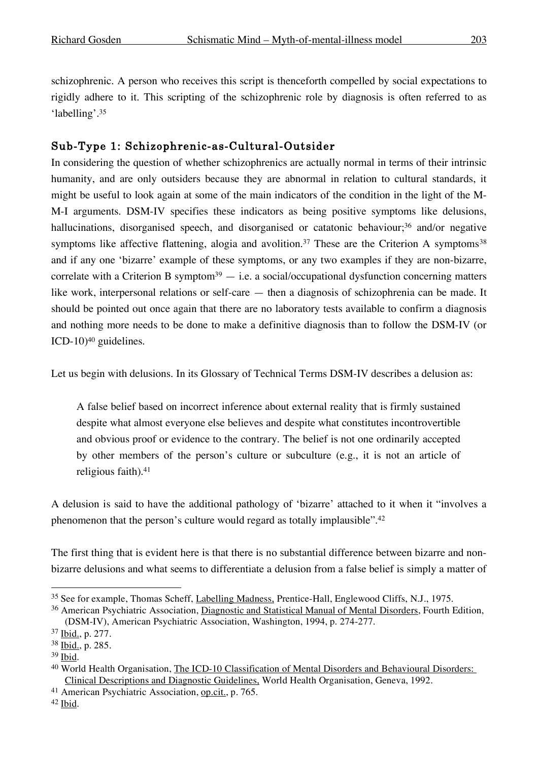schizophrenic. A person who receives this script is thenceforth compelled by social expectations to rigidly adhere to it. This scripting of the schizophrenic role by diagnosis is often referred to as 'labelling'. 35

# Sub-Type 1: Schizophrenic-as-Cultural-Outsider

In considering the question of whether schizophrenics are actually normal in terms of their intrinsic humanity, and are only outsiders because they are abnormal in relation to cultural standards, it might be useful to look again at some of the main indicators of the condition in the light of the M-M-I arguments. DSM-IV specifies these indicators as being positive symptoms like delusions, hallucinations, disorganised speech, and disorganised or catatonic behaviour;<sup>36</sup> and/or negative symptoms like affective flattening, alogia and avolition.<sup>37</sup> These are the Criterion A symptoms<sup>38</sup> and if any one 'bizarre' example of these symptoms, or any two examples if they are non-bizarre, correlate with a Criterion B symptom<sup>39</sup>  $-$  i.e. a social/occupational dysfunction concerning matters like work, interpersonal relations or self-care — then a diagnosis of schizophrenia can be made. It should be pointed out once again that there are no laboratory tests available to confirm a diagnosis and nothing more needs to be done to make a definitive diagnosis than to follow the DSM-IV (or ICD-10)40 guidelines.

Let us begin with delusions. In its Glossary of Technical Terms DSM-IV describes a delusion as:

A false belief based on incorrect inference about external reality that is firmly sustained despite what almost everyone else believes and despite what constitutes incontrovertible and obvious proof or evidence to the contrary. The belief is not one ordinarily accepted by other members of the person's culture or subculture (e.g., it is not an article of religious faith). 41

A delusion is said to have the additional pathology of 'bizarre' attached to it when it "involves a phenomenon that the person's culture would regard as totally implausible".<sup>42</sup>

The first thing that is evident here is that there is no substantial difference between bizarre and nonbizarre delusions and what seems to differentiate a delusion from a false belief is simply a matter of

<sup>&</sup>lt;sup>35</sup> See for example, Thomas Scheff, Labelling Madness, Prentice-Hall, Englewood Cliffs, N.J., 1975.

<sup>36</sup> American Psychiatric Association, Diagnostic and Statistical Manual of Mental Disorders, Fourth Edition, (DSM-IV), American Psychiatric Association, Washington, 1994, p. 274-277.

<sup>37</sup> Ibid., p. 277.

<sup>38</sup> Ibid., p. 285.

<sup>39</sup> Ibid.

<sup>40</sup> World Health Organisation, The ICD-10 Classification of Mental Disorders and Behavioural Disorders: Clinical Descriptions and Diagnostic Guidelines, World Health Organisation, Geneva, 1992.

<sup>41</sup> American Psychiatric Association, op.cit., p. 765.

<sup>42</sup> Ibid.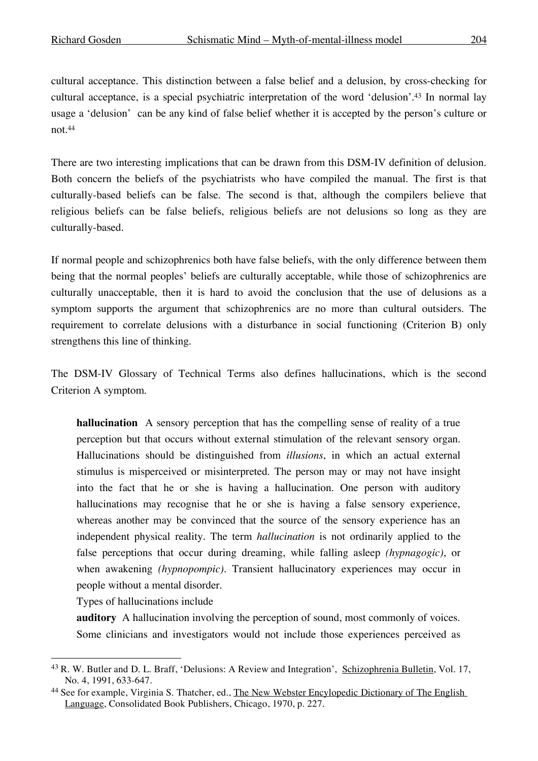cultural acceptance. This distinction between a false belief and a delusion, by cross-checking for cultural acceptance, is a special psychiatric interpretation of the word 'delusion'. <sup>43</sup> In normal lay usage a 'delusion' can be any kind of false belief whether it is accepted by the person's culture or not. 44

There are two interesting implications that can be drawn from this DSM-IV definition of delusion. Both concern the beliefs of the psychiatrists who have compiled the manual. The first is that culturally-based beliefs can be false. The second is that, although the compilers believe that religious beliefs can be false beliefs, religious beliefs are not delusions so long as they are culturally-based.

If normal people and schizophrenics both have false beliefs, with the only difference between them being that the normal peoples' beliefs are culturally acceptable, while those of schizophrenics are culturally unacceptable, then it is hard to avoid the conclusion that the use of delusions as a symptom supports the argument that schizophrenics are no more than cultural outsiders. The requirement to correlate delusions with a disturbance in social functioning (Criterion B) only strengthens this line of thinking.

The DSM-IV Glossary of Technical Terms also defines hallucinations, which is the second Criterion A symptom.

**hallucination** A sensory perception that has the compelling sense of reality of a true perception but that occurs without external stimulation of the relevant sensory organ. Hallucinations should be distinguished from *illusions*, in which an actual external stimulus is misperceived or misinterpreted. The person may or may not have insight into the fact that he or she is having a hallucination. One person with auditory hallucinations may recognise that he or she is having a false sensory experience, whereas another may be convinced that the source of the sensory experience has an independent physical reality. The term *hallucination* is not ordinarily applied to the false perceptions that occur during dreaming, while falling asleep *(hypnagogic)*, or when awakening *(hypnopompic)*. Transient hallucinatory experiences may occur in people without a mental disorder.

Types of hallucinations include

**auditory** A hallucination involving the perception of sound, most commonly of voices. Some clinicians and investigators would not include those experiences perceived as

 <sup>43</sup> R. W. Butler and D. L. Braff, 'Delusions: <sup>A</sup> Review and Integration', Schizophrenia Bulletin, Vol. 17, No. 4, 1991, 633-647.

<sup>44</sup> See for example, Virginia S. Thatcher, ed., The New Webster Encylopedic Dictionary of The English Language, Consolidated Book Publishers, Chicago, 1970, p. 227.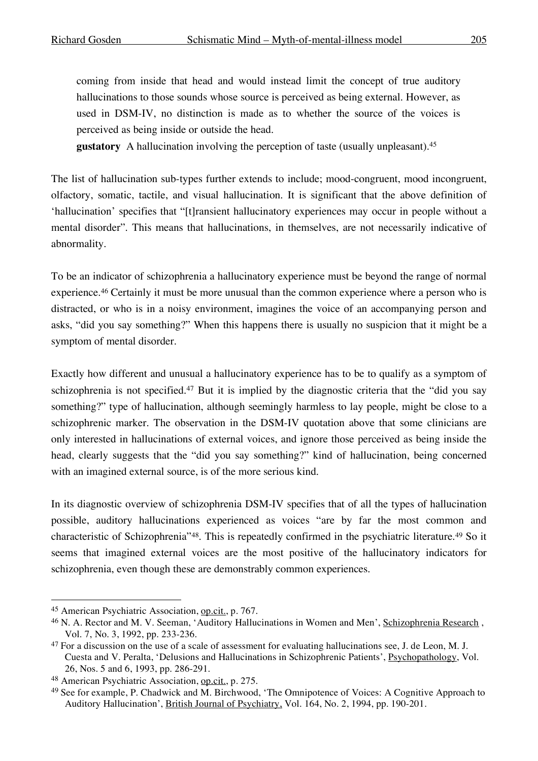coming from inside that head and would instead limit the concept of true auditory hallucinations to those sounds whose source is perceived as being external. However, as used in DSM-IV, no distinction is made as to whether the source of the voices is perceived as being inside or outside the head.

**gustatory** A hallucination involving the perception of taste (usually unpleasant). 45

The list of hallucination sub-types further extends to include; mood-congruent, mood incongruent, olfactory, somatic, tactile, and visual hallucination. It is significant that the above definition of 'hallucination' specifies that "[t]ransient hallucinatory experiences may occur in people without a mental disorder". This means that hallucinations, in themselves, are not necessarily indicative of abnormality.

To be an indicator of schizophrenia a hallucinatory experience must be beyond the range of normal experience. <sup>46</sup> Certainly it must be more unusual than the common experience where a person who is distracted, or who is in a noisy environment, imagines the voice of an accompanying person and asks, "did you say something?" When this happens there is usually no suspicion that it might be a symptom of mental disorder.

Exactly how different and unusual a hallucinatory experience has to be to qualify as a symptom of schizophrenia is not specified.<sup>47</sup> But it is implied by the diagnostic criteria that the "did you say something?" type of hallucination, although seemingly harmless to lay people, might be close to a schizophrenic marker. The observation in the DSM-IV quotation above that some clinicians are only interested in hallucinations of external voices, and ignore those perceived as being inside the head, clearly suggests that the "did you say something?" kind of hallucination, being concerned with an imagined external source, is of the more serious kind.

In its diagnostic overview of schizophrenia DSM-IV specifies that of all the types of hallucination possible, auditory hallucinations experienced as voices "are by far the most common and characteristic of Schizophrenia"48. This is repeatedly confirmed in the psychiatric literature.49 So it seems that imagined external voices are the most positive of the hallucinatory indicators for schizophrenia, even though these are demonstrably common experiences.

 <sup>45</sup> American Psychiatric Association, op.cit., p. 767.

<sup>&</sup>lt;sup>46</sup> N. A. Rector and M. V. Seeman, 'Auditory Hallucinations in Women and Men', Schizophrenia Research, Vol. 7, No. 3, 1992, pp. 233-236.

<sup>47</sup> For a discussion on the use of a scale of assessment for evaluating hallucinations see, J. de Leon, M. J. Cuesta and V. Peralta, 'Delusions and Hallucinations in Schizophrenic Patients', Psychopathology, Vol. 26, Nos. 5 and 6, 1993, pp. 286-291.

<sup>48</sup> American Psychiatric Association, op.cit., p. 275.

<sup>49</sup> See for example, P. Chadwick and M. Birchwood, 'The Omnipotence of Voices: A Cognitive Approach to Auditory Hallucination', British Journal of Psychiatry, Vol. 164, No. 2, 1994, pp. 190-201.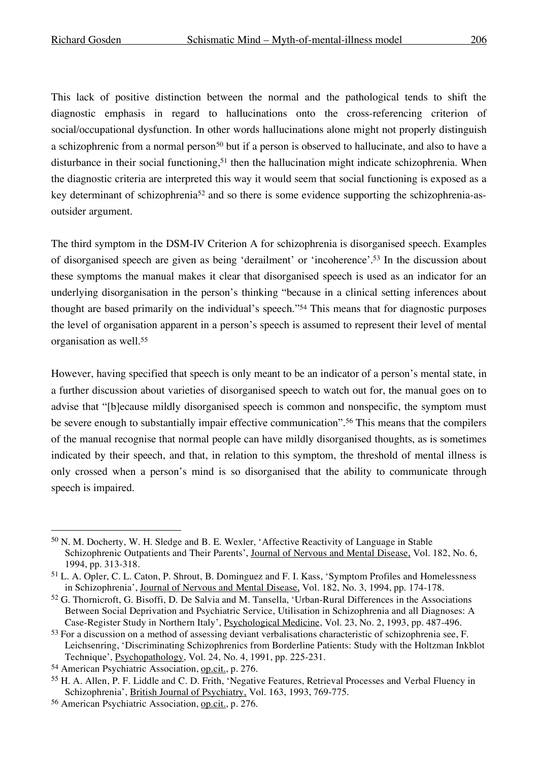This lack of positive distinction between the normal and the pathological tends to shift the diagnostic emphasis in regard to hallucinations onto the cross-referencing criterion of social/occupational dysfunction. In other words hallucinations alone might not properly distinguish a schizophrenic from a normal person<sup>50</sup> but if a person is observed to hallucinate, and also to have a disturbance in their social functioning,<sup>51</sup> then the hallucination might indicate schizophrenia. When the diagnostic criteria are interpreted this way it would seem that social functioning is exposed as a key determinant of schizophrenia<sup>52</sup> and so there is some evidence supporting the schizophrenia-asoutsider argument.

The third symptom in the DSM-IV Criterion A for schizophrenia is disorganised speech. Examples of disorganised speech are given as being 'derailment' or 'incoherence'. <sup>53</sup> In the discussion about these symptoms the manual makes it clear that disorganised speech is used as an indicator for an underlying disorganisation in the person's thinking "because in a clinical setting inferences about thought are based primarily on the individual's speech."54 This means that for diagnostic purposes the level of organisation apparent in a person's speech is assumed to represent their level of mental organisation as well. 55

However, having specified that speech is only meant to be an indicator of a person's mental state, in a further discussion about varieties of disorganised speech to watch out for, the manual goes on to advise that "[b]ecause mildly disorganised speech is common and nonspecific, the symptom must be severe enough to substantially impair effective communication". <sup>56</sup> This means that the compilers of the manual recognise that normal people can have mildly disorganised thoughts, as is sometimes indicated by their speech, and that, in relation to this symptom, the threshold of mental illness is only crossed when a person's mind is so disorganised that the ability to communicate through speech is impaired.

 <sup>50</sup> N. M. Docherty, W. H. Sledge and B. E. Wexler, 'Affective Reactivity of Language in Stable Schizophrenic Outpatients and Their Parents', Journal of Nervous and Mental Disease, Vol. 182, No. 6, 1994, pp. 313-318.

<sup>51</sup> L. A. Opler, C. L. Caton, P. Shrout, B. Dominguez and F. I. Kass, 'Symptom Profiles and Homelessness in Schizophrenia', Journal of Nervous and Mental Disease, Vol. 182, No. 3, 1994, pp. 174-178.

<sup>52</sup> G. Thornicroft, G. Bisoffi, D. De Salvia and M. Tansella, 'Urban-Rural Differences in the Associations Between Social Deprivation and Psychiatric Service, Utilisation in Schizophrenia and all Diagnoses: A Case-Register Study in Northern Italy', Psychological Medicine, Vol. 23, No. 2, 1993, pp. 487-496.

<sup>&</sup>lt;sup>53</sup> For a discussion on a method of assessing deviant verbalisations characteristic of schizophrenia see, F. Leichsenring, 'Discriminating Schizophrenics from Borderline Patients: Study with the Holtzman Inkblot Technique', Psychopathology, Vol. 24, No. 4, 1991, pp. 225-231.

<sup>54</sup> American Psychiatric Association, op.cit., p. 276.

<sup>55</sup> H. A. Allen, P. F. Liddle and C. D. Frith, 'Negative Features, Retrieval Processes and Verbal Fluency in Schizophrenia', British Journal of Psychiatry, Vol. 163, 1993, 769-775.

<sup>56</sup> American Psychiatric Association, op.cit., p. 276.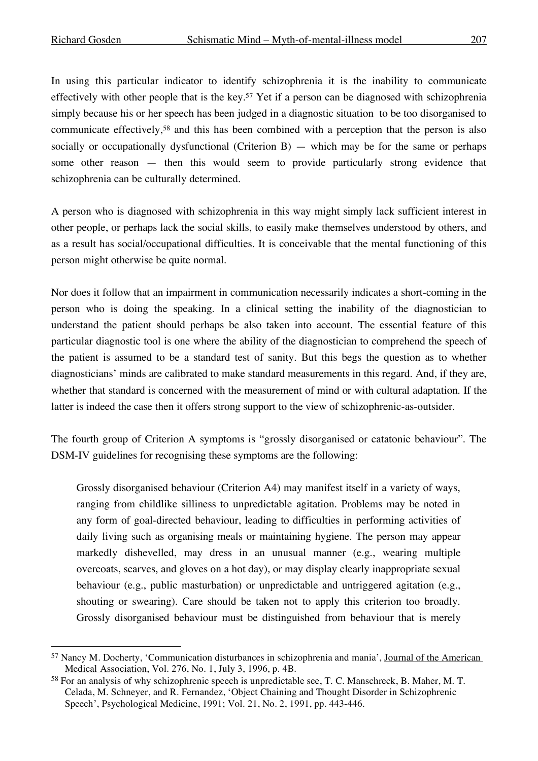In using this particular indicator to identify schizophrenia it is the inability to communicate effectively with other people that is the key.57 Yet if a person can be diagnosed with schizophrenia simply because his or her speech has been judged in a diagnostic situation to be too disorganised to communicate effectively,<sup>58</sup> and this has been combined with a perception that the person is also socially or occupationally dysfunctional (Criterion B) — which may be for the same or perhaps some other reason — then this would seem to provide particularly strong evidence that schizophrenia can be culturally determined.

A person who is diagnosed with schizophrenia in this way might simply lack sufficient interest in other people, or perhaps lack the social skills, to easily make themselves understood by others, and as a result has social/occupational difficulties. It is conceivable that the mental functioning of this person might otherwise be quite normal.

Nor does it follow that an impairment in communication necessarily indicates a short-coming in the person who is doing the speaking. In a clinical setting the inability of the diagnostician to understand the patient should perhaps be also taken into account. The essential feature of this particular diagnostic tool is one where the ability of the diagnostician to comprehend the speech of the patient is assumed to be a standard test of sanity. But this begs the question as to whether diagnosticians' minds are calibrated to make standard measurements in this regard. And, if they are, whether that standard is concerned with the measurement of mind or with cultural adaptation. If the latter is indeed the case then it offers strong support to the view of schizophrenic-as-outsider.

The fourth group of Criterion A symptoms is "grossly disorganised or catatonic behaviour". The DSM-IV guidelines for recognising these symptoms are the following:

Grossly disorganised behaviour (Criterion A4) may manifest itself in a variety of ways, ranging from childlike silliness to unpredictable agitation. Problems may be noted in any form of goal-directed behaviour, leading to difficulties in performing activities of daily living such as organising meals or maintaining hygiene. The person may appear markedly dishevelled, may dress in an unusual manner (e.g., wearing multiple overcoats, scarves, and gloves on a hot day), or may display clearly inappropriate sexual behaviour (e.g., public masturbation) or unpredictable and untriggered agitation (e.g., shouting or swearing). Care should be taken not to apply this criterion too broadly. Grossly disorganised behaviour must be distinguished from behaviour that is merely

 <sup>57</sup> Nancy M. Docherty, 'Communication disturbances in schizophrenia and mania', Journal of the American Medical Association, Vol. 276, No. 1, July 3, 1996, p. 4B.

<sup>58</sup> For an analysis of why schizophrenic speech is unpredictable see, T. C. Manschreck, B. Maher, M. T. Celada, M. Schneyer, and R. Fernandez, 'Object Chaining and Thought Disorder in Schizophrenic Speech', Psychological Medicine, 1991; Vol. 21, No. 2, 1991, pp. 443-446.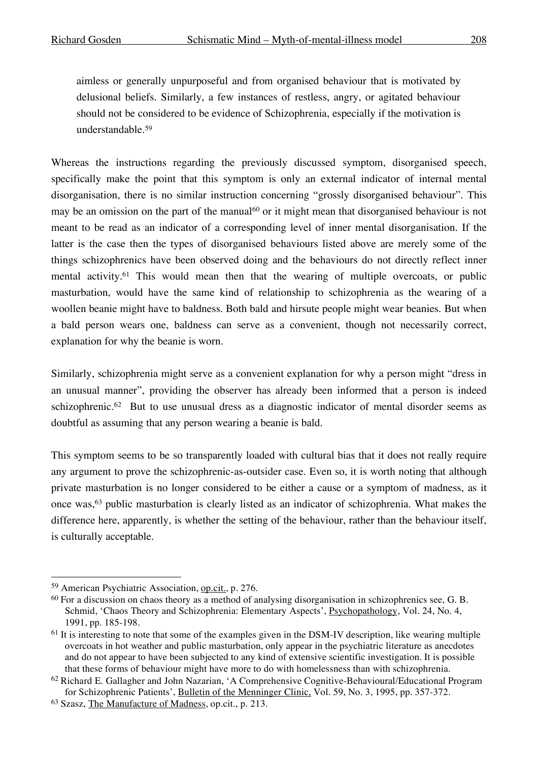aimless or generally unpurposeful and from organised behaviour that is motivated by delusional beliefs. Similarly, a few instances of restless, angry, or agitated behaviour should not be considered to be evidence of Schizophrenia, especially if the motivation is understandable.59

Whereas the instructions regarding the previously discussed symptom, disorganised speech, specifically make the point that this symptom is only an external indicator of internal mental disorganisation, there is no similar instruction concerning "grossly disorganised behaviour". This may be an omission on the part of the manual<sup>60</sup> or it might mean that disorganised behaviour is not meant to be read as an indicator of a corresponding level of inner mental disorganisation. If the latter is the case then the types of disorganised behaviours listed above are merely some of the things schizophrenics have been observed doing and the behaviours do not directly reflect inner mental activity.61 This would mean then that the wearing of multiple overcoats, or public masturbation, would have the same kind of relationship to schizophrenia as the wearing of a woollen beanie might have to baldness. Both bald and hirsute people might wear beanies. But when a bald person wears one, baldness can serve as a convenient, though not necessarily correct, explanation for why the beanie is worn.

Similarly, schizophrenia might serve as a convenient explanation for why a person might "dress in an unusual manner", providing the observer has already been informed that a person is indeed schizophrenic.<sup>62</sup> But to use unusual dress as a diagnostic indicator of mental disorder seems as doubtful as assuming that any person wearing a beanie is bald.

This symptom seems to be so transparently loaded with cultural bias that it does not really require any argument to prove the schizophrenic-as-outsider case. Even so, it is worth noting that although private masturbation is no longer considered to be either a cause or a symptom of madness, as it once was,63 public masturbation is clearly listed as an indicator of schizophrenia. What makes the difference here, apparently, is whether the setting of the behaviour, rather than the behaviour itself, is culturally acceptable.

 <sup>59</sup> American Psychiatric Association, op.cit., p. 276.

 $60$  For a discussion on chaos theory as a method of analysing disorganisation in schizophrenics see, G. B. Schmid, 'Chaos Theory and Schizophrenia: Elementary Aspects', Psychopathology, Vol. 24, No. 4, 1991, pp. 185-198.

<sup>&</sup>lt;sup>61</sup> It is interesting to note that some of the examples given in the DSM-IV description, like wearing multiple overcoats in hot weather and public masturbation, only appear in the psychiatric literature as anecdotes and do not appear to have been subjected to any kind of extensive scientific investigation. It is possible that these forms of behaviour might have more to do with homelessness than with schizophrenia.

<sup>62</sup> Richard E. Gallagher and John Nazarian, 'A Comprehensive Cognitive-Behavioural/Educational Program for Schizophrenic Patients', Bulletin of the Menninger Clinic, Vol. 59, No. 3, 1995, pp. 357-372.

<sup>63</sup> Szasz, The Manufacture of Madness, op.cit., p. 213.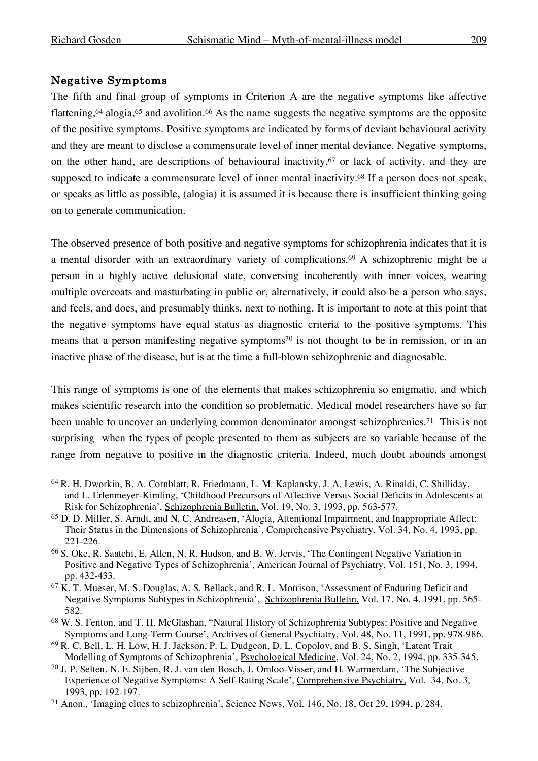#### Negative Symptoms

The fifth and final group of symptoms in Criterion A are the negative symptoms like affective flattening,<sup>64</sup> alogia,<sup>65</sup> and avolition.<sup>66</sup> As the name suggests the negative symptoms are the opposite of the positive symptoms. Positive symptoms are indicated by forms of deviant behavioural activity and they are meant to disclose a commensurate level of inner mental deviance. Negative symptoms, on the other hand, are descriptions of behavioural inactivity,67 or lack of activity, and they are supposed to indicate a commensurate level of inner mental inactivity.<sup>68</sup> If a person does not speak, or speaks as little as possible, (alogia) it is assumed it is because there is insufficient thinking going on to generate communication.

The observed presence of both positive and negative symptoms for schizophrenia indicates that it is a mental disorder with an extraordinary variety of complications. <sup>69</sup> A schizophrenic might be a person in a highly active delusional state, conversing incoherently with inner voices, wearing multiple overcoats and masturbating in public or, alternatively, it could also be a person who says, and feels, and does, and presumably thinks, next to nothing. It is important to note at this point that the negative symptoms have equal status as diagnostic criteria to the positive symptoms. This means that a person manifesting negative symptoms<sup>70</sup> is not thought to be in remission, or in an inactive phase of the disease, but is at the time a full-blown schizophrenic and diagnosable.

This range of symptoms is one of the elements that makes schizophrenia so enigmatic, and which makes scientific research into the condition so problematic. Medical model researchers have so far been unable to uncover an underlying common denominator amongst schizophrenics.<sup>71</sup> This is not surprising when the types of people presented to them as subjects are so variable because of the range from negative to positive in the diagnostic criteria. Indeed, much doubt abounds amongst

 <sup>64</sup> R. H. Dworkin, B. A. Cornblatt, R. Friedmann, L. M. Kaplansky, J. A. Lewis, A. Rinaldi, C. Shilliday, and L. Erlenmeyer-Kimling, 'Childhood Precursors of Affective Versus Social Deficits in Adolescents at Risk for Schizophrenia', Schizophrenia Bulletin, Vol. 19, No. 3, 1993, pp. 563-577.

<sup>65</sup> D. D. Miller, S. Arndt, and N. C. Andreasen, 'Alogia, Attentional Impairment, and Inappropriate Affect: Their Status in the Dimensions of Schizophrenia', Comprehensive Psychiatry, Vol. 34, No. 4, 1993, pp. 221-226.

<sup>66</sup> S. Oke, R. Saatchi, E. Allen, N. R. Hudson, and B. W. Jervis, 'The Contingent Negative Variation in Positive and Negative Types of Schizophrenia', American Journal of Psychiatry, Vol. 151, No. 3, 1994, pp. 432-433.

<sup>67</sup> K. T. Mueser, M. S. Douglas, A. S. Bellack, and R. L. Morrison, 'Assessment of Enduring Deficit and Negative Symptoms Subtypes in Schizophrenia', Schizophrenia Bulletin, Vol. 17, No. 4, 1991, pp. 565- 582.

<sup>68</sup> W. S. Fenton, and T. H. McGlashan, "Natural History of Schizophrenia Subtypes: Positive and Negative Symptoms and Long-Term Course', Archives of General Psychiatry, Vol. 48, No. 11, 1991, pp. 978-986.

<sup>69</sup> R. C. Bell, L. H. Low, H. J. Jackson, P. L. Dudgeon, D. L. Copolov, and B. S. Singh, 'Latent Trait Modelling of Symptoms of Schizophrenia', Psychological Medicine, Vol. 24, No. 2, 1994, pp. 335-345.

<sup>70</sup> J. P. Selten, N. E. Sijben, R. J. van den Bosch, J. Omloo-Visser, and H. Warmerdam, 'The Subjective Experience of Negative Symptoms: A Self-Rating Scale', Comprehensive Psychiatry, Vol. 34, No. 3, 1993, pp. 192-197.

<sup>71</sup> Anon., 'Imaging clues to schizophrenia', Science News, Vol. 146, No. 18, Oct 29, 1994, p. 284.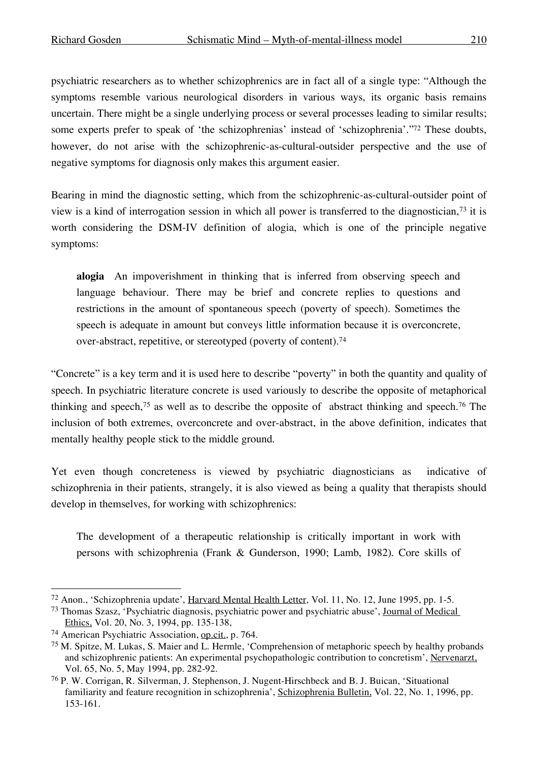psychiatric researchers as to whether schizophrenics are in fact all of a single type: "Although the symptoms resemble various neurological disorders in various ways, its organic basis remains uncertain. There might be a single underlying process or several processes leading to similar results; some experts prefer to speak of 'the schizophrenias' instead of 'schizophrenia'."<sup>72</sup> These doubts, however, do not arise with the schizophrenic-as-cultural-outsider perspective and the use of negative symptoms for diagnosis only makes this argument easier.

Bearing in mind the diagnostic setting, which from the schizophrenic-as-cultural-outsider point of view is a kind of interrogation session in which all power is transferred to the diagnostician,73 it is worth considering the DSM-IV definition of alogia, which is one of the principle negative symptoms:

**alogia** An impoverishment in thinking that is inferred from observing speech and language behaviour. There may be brief and concrete replies to questions and restrictions in the amount of spontaneous speech (poverty of speech). Sometimes the speech is adequate in amount but conveys little information because it is overconcrete, over-abstract, repetitive, or stereotyped (poverty of content). 74

"Concrete" is a key term and it is used here to describe "poverty" in both the quantity and quality of speech. In psychiatric literature concrete is used variously to describe the opposite of metaphorical thinking and speech,75 as well as to describe the opposite of abstract thinking and speech.76 The inclusion of both extremes, overconcrete and over-abstract, in the above definition, indicates that mentally healthy people stick to the middle ground.

Yet even though concreteness is viewed by psychiatric diagnosticians as indicative of schizophrenia in their patients, strangely, it is also viewed as being a quality that therapists should develop in themselves, for working with schizophrenics:

The development of a therapeutic relationship is critically important in work with persons with schizophrenia (Frank & Gunderson, 1990; Lamb, 1982). Core skills of

 <sup>72</sup> Anon., 'Schizophrenia update', Harvard Mental Health Letter, Vol. 11, No. 12, June 1995, pp. 1-5.

<sup>73</sup> Thomas Szasz, 'Psychiatric diagnosis, psychiatric power and psychiatric abuse', Journal of Medical Ethics, Vol. 20, No. 3, 1994, pp. 135-138,

<sup>74</sup> American Psychiatric Association, op.cit., p. 764.

<sup>75</sup> M. Spitze, M. Lukas, S. Maier and L. Hermle, 'Comprehension of metaphoric speech by healthy probands and schizophrenic patients: An experimental psychopathologic contribution to concretism', Nervenarzt, Vol. 65, No. 5, May 1994, pp. 282-92.

<sup>76</sup> P. W. Corrigan, R. Silverman, J. Stephenson, J. Nugent-Hirschbeck and B. J. Buican, 'Situational familiarity and feature recognition in schizophrenia', Schizophrenia Bulletin, Vol. 22, No. 1, 1996, pp. 153-161.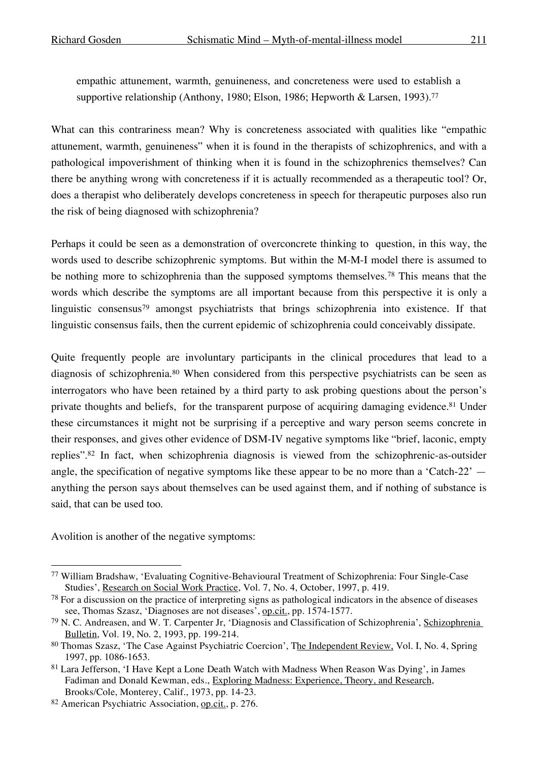empathic attunement, warmth, genuineness, and concreteness were used to establish a supportive relationship (Anthony, 1980; Elson, 1986; Hepworth & Larsen, 1993). 77

What can this contrariness mean? Why is concreteness associated with qualities like "empathic attunement, warmth, genuineness" when it is found in the therapists of schizophrenics, and with a pathological impoverishment of thinking when it is found in the schizophrenics themselves? Can there be anything wrong with concreteness if it is actually recommended as a therapeutic tool? Or, does a therapist who deliberately develops concreteness in speech for therapeutic purposes also run the risk of being diagnosed with schizophrenia?

Perhaps it could be seen as a demonstration of overconcrete thinking to question, in this way, the words used to describe schizophrenic symptoms. But within the M-M-I model there is assumed to be nothing more to schizophrenia than the supposed symptoms themselves.<sup>78</sup> This means that the words which describe the symptoms are all important because from this perspective it is only a linguistic consensus<sup>79</sup> amongst psychiatrists that brings schizophrenia into existence. If that linguistic consensus fails, then the current epidemic of schizophrenia could conceivably dissipate.

Quite frequently people are involuntary participants in the clinical procedures that lead to a diagnosis of schizophrenia. <sup>80</sup> When considered from this perspective psychiatrists can be seen as interrogators who have been retained by a third party to ask probing questions about the person's private thoughts and beliefs, for the transparent purpose of acquiring damaging evidence.<sup>81</sup> Under these circumstances it might not be surprising if a perceptive and wary person seems concrete in their responses, and gives other evidence of DSM-IV negative symptoms like "brief, laconic, empty replies".82 In fact, when schizophrenia diagnosis is viewed from the schizophrenic-as-outsider angle, the specification of negative symptoms like these appear to be no more than a 'Catch-22' anything the person says about themselves can be used against them, and if nothing of substance is said, that can be used too.

Avolition is another of the negative symptoms:

 <sup>77</sup> William Bradshaw, 'Evaluating Cognitive-Behavioural Treatment of Schizophrenia: Four Single-Case Studies', Research on Social Work Practice, Vol. 7, No. 4, October, 1997, p. 419.

<sup>78</sup> For a discussion on the practice of interpreting signs as pathological indicators in the absence of diseases see, Thomas Szasz, 'Diagnoses are not diseases', op.cit., pp. 1574-1577.

<sup>79</sup> N. C. Andreasen, and W. T. Carpenter Jr, 'Diagnosis and Classification of Schizophrenia', Schizophrenia Bulletin, Vol. 19, No. 2, 1993, pp. 199-214.

<sup>80</sup> Thomas Szasz, 'The Case Against Psychiatric Coercion', The Independent Review, Vol. I, No. 4, Spring 1997, pp. 1086-1653.

<sup>81</sup> Lara Jefferson, 'I Have Kept a Lone Death Watch with Madness When Reason Was Dying', in James Fadiman and Donald Kewman, eds., Exploring Madness: Experience, Theory, and Research, Brooks/Cole, Monterey, Calif., 1973, pp. 14-23.

<sup>82</sup> American Psychiatric Association, op.cit., p. 276.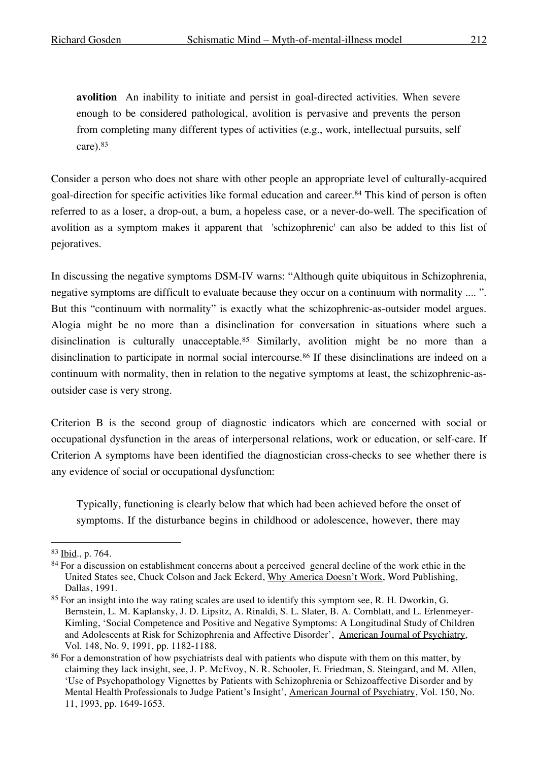**avolition** An inability to initiate and persist in goal-directed activities. When severe enough to be considered pathological, avolition is pervasive and prevents the person from completing many different types of activities (e.g., work, intellectual pursuits, self care). 83

Consider a person who does not share with other people an appropriate level of culturally-acquired goal-direction for specific activities like formal education and career.84 This kind of person is often referred to as a loser, a drop-out, a bum, a hopeless case, or a never-do-well. The specification of avolition as a symptom makes it apparent that 'schizophrenic' can also be added to this list of pejoratives.

In discussing the negative symptoms DSM-IV warns: "Although quite ubiquitous in Schizophrenia, negative symptoms are difficult to evaluate because they occur on a continuum with normality .... ". But this "continuum with normality" is exactly what the schizophrenic-as-outsider model argues. Alogia might be no more than a disinclination for conversation in situations where such a disinclination is culturally unacceptable.85 Similarly, avolition might be no more than a disinclination to participate in normal social intercourse.<sup>86</sup> If these disinclinations are indeed on a continuum with normality, then in relation to the negative symptoms at least, the schizophrenic-asoutsider case is very strong.

Criterion B is the second group of diagnostic indicators which are concerned with social or occupational dysfunction in the areas of interpersonal relations, work or education, or self-care. If Criterion A symptoms have been identified the diagnostician cross-checks to see whether there is any evidence of social or occupational dysfunction:

Typically, functioning is clearly below that which had been achieved before the onset of symptoms. If the disturbance begins in childhood or adolescence, however, there may

 <sup>83</sup> Ibid., p. 764.

<sup>&</sup>lt;sup>84</sup> For a discussion on establishment concerns about a perceived general decline of the work ethic in the United States see, Chuck Colson and Jack Eckerd, Why America Doesn't Work, Word Publishing, Dallas, 1991.

<sup>85</sup> For an insight into the way rating scales are used to identify this symptom see, R. H. Dworkin, G. Bernstein, L. M. Kaplansky, J. D. Lipsitz, A. Rinaldi, S. L. Slater, B. A. Cornblatt, and L. Erlenmeyer-Kimling, 'Social Competence and Positive and Negative Symptoms: A Longitudinal Study of Children and Adolescents at Risk for Schizophrenia and Affective Disorder', American Journal of Psychiatry, Vol. 148, No. 9, 1991, pp. 1182-1188.

<sup>&</sup>lt;sup>86</sup> For a demonstration of how psychiatrists deal with patients who dispute with them on this matter, by claiming they lack insight, see, J. P. McEvoy, N. R. Schooler, E. Friedman, S. Steingard, and M. Allen, 'Use of Psychopathology Vignettes by Patients with Schizophrenia or Schizoaffective Disorder and by Mental Health Professionals to Judge Patient's Insight', American Journal of Psychiatry, Vol. 150, No. 11, 1993, pp. 1649-1653.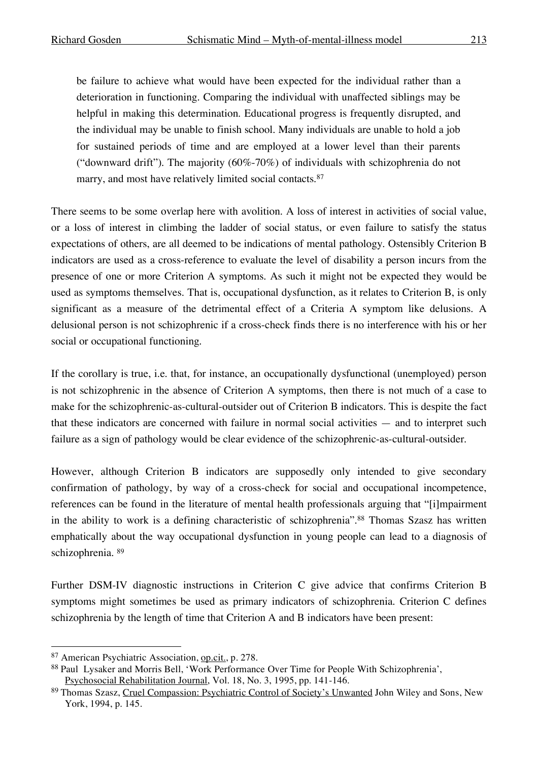be failure to achieve what would have been expected for the individual rather than a deterioration in functioning. Comparing the individual with unaffected siblings may be helpful in making this determination. Educational progress is frequently disrupted, and the individual may be unable to finish school. Many individuals are unable to hold a job for sustained periods of time and are employed at a lower level than their parents ("downward drift"). The majority (60%-70%) of individuals with schizophrenia do not marry, and most have relatively limited social contacts.<sup>87</sup>

There seems to be some overlap here with avolition. A loss of interest in activities of social value, or a loss of interest in climbing the ladder of social status, or even failure to satisfy the status expectations of others, are all deemed to be indications of mental pathology. Ostensibly Criterion B indicators are used as a cross-reference to evaluate the level of disability a person incurs from the presence of one or more Criterion A symptoms. As such it might not be expected they would be used as symptoms themselves. That is, occupational dysfunction, as it relates to Criterion B, is only significant as a measure of the detrimental effect of a Criteria A symptom like delusions. A delusional person is not schizophrenic if a cross-check finds there is no interference with his or her social or occupational functioning.

If the corollary is true, i.e. that, for instance, an occupationally dysfunctional (unemployed) person is not schizophrenic in the absence of Criterion A symptoms, then there is not much of a case to make for the schizophrenic-as-cultural-outsider out of Criterion B indicators. This is despite the fact that these indicators are concerned with failure in normal social activities — and to interpret such failure as a sign of pathology would be clear evidence of the schizophrenic-as-cultural-outsider.

However, although Criterion B indicators are supposedly only intended to give secondary confirmation of pathology, by way of a cross-check for social and occupational incompetence, references can be found in the literature of mental health professionals arguing that "[i]mpairment in the ability to work is a defining characteristic of schizophrenia".88 Thomas Szasz has written emphatically about the way occupational dysfunction in young people can lead to a diagnosis of schizophrenia. <sup>89</sup>

Further DSM-IV diagnostic instructions in Criterion C give advice that confirms Criterion B symptoms might sometimes be used as primary indicators of schizophrenia. Criterion C defines schizophrenia by the length of time that Criterion A and B indicators have been present:

 <sup>87</sup> American Psychiatric Association, op.cit., p. 278.

<sup>88</sup> Paul Lysaker and Morris Bell, 'Work Performance Over Time for People With Schizophrenia', Psychosocial Rehabilitation Journal, Vol. 18, No. 3, 1995, pp. 141-146.

<sup>89</sup> Thomas Szasz, Cruel Compassion: Psychiatric Control of Society's Unwanted John Wiley and Sons, New York, 1994, p. 145.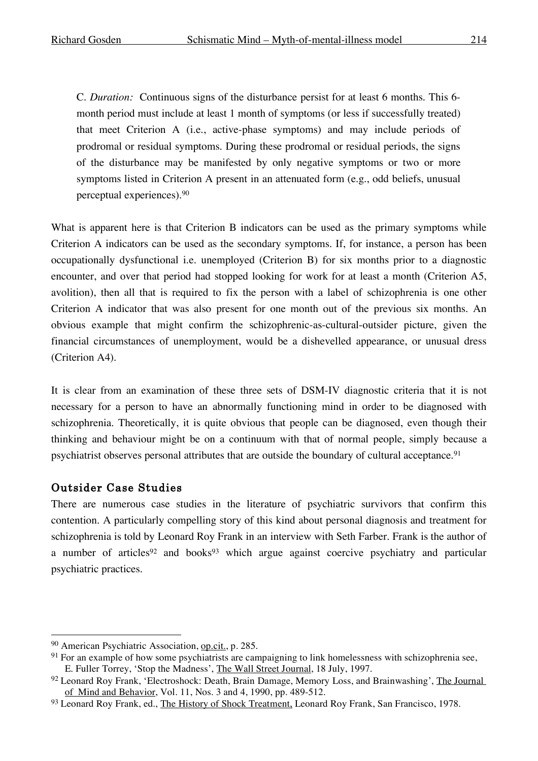C. *Duration:* Continuous signs of the disturbance persist for at least 6 months. This 6 month period must include at least 1 month of symptoms (or less if successfully treated) that meet Criterion A (i.e., active-phase symptoms) and may include periods of prodromal or residual symptoms. During these prodromal or residual periods, the signs of the disturbance may be manifested by only negative symptoms or two or more symptoms listed in Criterion A present in an attenuated form (e.g., odd beliefs, unusual perceptual experiences).90

What is apparent here is that Criterion B indicators can be used as the primary symptoms while Criterion A indicators can be used as the secondary symptoms. If, for instance, a person has been occupationally dysfunctional i.e. unemployed (Criterion B) for six months prior to a diagnostic encounter, and over that period had stopped looking for work for at least a month (Criterion A5, avolition), then all that is required to fix the person with a label of schizophrenia is one other Criterion A indicator that was also present for one month out of the previous six months. An obvious example that might confirm the schizophrenic-as-cultural-outsider picture, given the financial circumstances of unemployment, would be a dishevelled appearance, or unusual dress (Criterion A4).

It is clear from an examination of these three sets of DSM-IV diagnostic criteria that it is not necessary for a person to have an abnormally functioning mind in order to be diagnosed with schizophrenia. Theoretically, it is quite obvious that people can be diagnosed, even though their thinking and behaviour might be on a continuum with that of normal people, simply because a psychiatrist observes personal attributes that are outside the boundary of cultural acceptance.<sup>91</sup>

#### Outsider Case Studies

There are numerous case studies in the literature of psychiatric survivors that confirm this contention. A particularly compelling story of this kind about personal diagnosis and treatment for schizophrenia is told by Leonard Roy Frank in an interview with Seth Farber. Frank is the author of a number of articles<sup>92</sup> and books<sup>93</sup> which argue against coercive psychiatry and particular psychiatric practices.

 <sup>90</sup> American Psychiatric Association, op.cit., p. 285.

<sup>&</sup>lt;sup>91</sup> For an example of how some psychiatrists are campaigning to link homelessness with schizophrenia see, E. Fuller Torrey, 'Stop the Madness', The Wall Street Journal, 18 July, 1997.

<sup>&</sup>lt;sup>92</sup> Leonard Roy Frank, 'Electroshock: Death, Brain Damage, Memory Loss, and Brainwashing', The Journal of Mind and Behavior, Vol. 11, Nos. 3 and 4, 1990, pp. 489-512.

<sup>93</sup> Leonard Roy Frank, ed., The History of Shock Treatment, Leonard Roy Frank, San Francisco, 1978.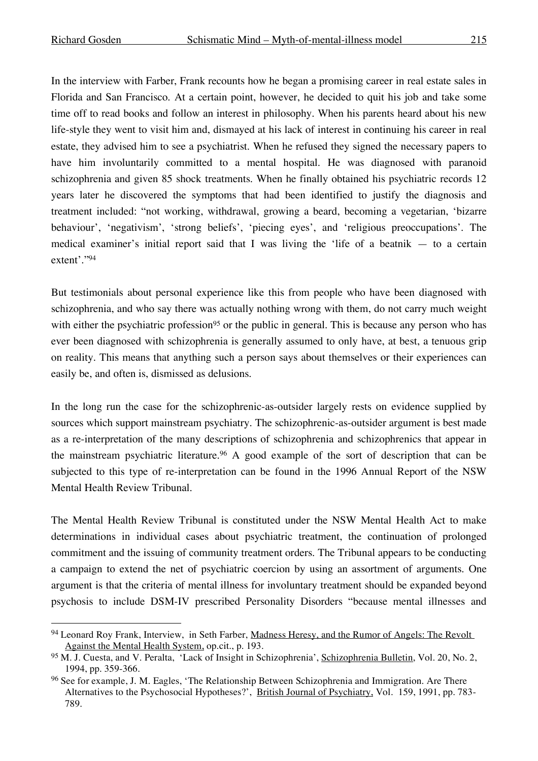In the interview with Farber, Frank recounts how he began a promising career in real estate sales in Florida and San Francisco. At a certain point, however, he decided to quit his job and take some time off to read books and follow an interest in philosophy. When his parents heard about his new life-style they went to visit him and, dismayed at his lack of interest in continuing his career in real estate, they advised him to see a psychiatrist. When he refused they signed the necessary papers to have him involuntarily committed to a mental hospital. He was diagnosed with paranoid schizophrenia and given 85 shock treatments. When he finally obtained his psychiatric records 12 years later he discovered the symptoms that had been identified to justify the diagnosis and treatment included: "not working, withdrawal, growing a beard, becoming a vegetarian, 'bizarre behaviour', 'negativism', 'strong beliefs', 'piecing eyes', and 'religious preoccupations'. The medical examiner's initial report said that I was living the 'life of a beatnik — to a certain extent'."94

But testimonials about personal experience like this from people who have been diagnosed with schizophrenia, and who say there was actually nothing wrong with them, do not carry much weight with either the psychiatric profession<sup>95</sup> or the public in general. This is because any person who has ever been diagnosed with schizophrenia is generally assumed to only have, at best, a tenuous grip on reality. This means that anything such a person says about themselves or their experiences can easily be, and often is, dismissed as delusions.

In the long run the case for the schizophrenic-as-outsider largely rests on evidence supplied by sources which support mainstream psychiatry. The schizophrenic-as-outsider argument is best made as a re-interpretation of the many descriptions of schizophrenia and schizophrenics that appear in the mainstream psychiatric literature.96 A good example of the sort of description that can be subjected to this type of re-interpretation can be found in the 1996 Annual Report of the NSW Mental Health Review Tribunal.

The Mental Health Review Tribunal is constituted under the NSW Mental Health Act to make determinations in individual cases about psychiatric treatment, the continuation of prolonged commitment and the issuing of community treatment orders. The Tribunal appears to be conducting a campaign to extend the net of psychiatric coercion by using an assortment of arguments. One argument is that the criteria of mental illness for involuntary treatment should be expanded beyond psychosis to include DSM-IV prescribed Personality Disorders "because mental illnesses and

<sup>94</sup> Leonard Roy Frank, Interview, in Seth Farber, Madness Heresy, and the Rumor of Angels: The Revolt Against the Mental Health System, op.cit., p. 193.

<sup>95</sup> M. J. Cuesta, and V. Peralta, 'Lack of Insight in Schizophrenia', Schizophrenia Bulletin, Vol. 20, No. 2, 1994, pp. 359-366.

<sup>&</sup>lt;sup>96</sup> See for example, J. M. Eagles, 'The Relationship Between Schizophrenia and Immigration. Are There Alternatives to the Psychosocial Hypotheses?', British Journal of Psychiatry, Vol. 159, 1991, pp. 783- 789.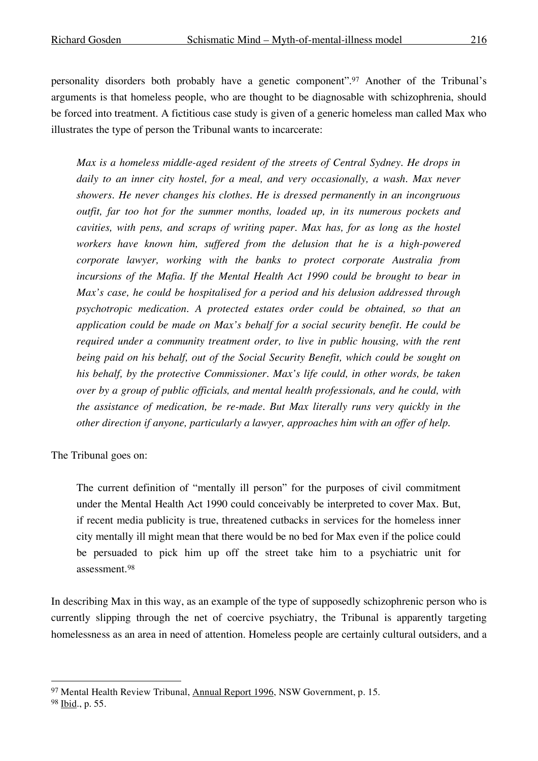personality disorders both probably have a genetic component".97 Another of the Tribunal's arguments is that homeless people, who are thought to be diagnosable with schizophrenia, should be forced into treatment. A fictitious case study is given of a generic homeless man called Max who illustrates the type of person the Tribunal wants to incarcerate:

*Max is a homeless middle-aged resident of the streets of Central Sydney. He drops in daily to an inner city hostel, for a meal, and very occasionally, a wash. Max never showers. He never changes his clothes. He is dressed permanently in an incongruous outfit, far too hot for the summer months, loaded up, in its numerous pockets and cavities, with pens, and scraps of writing paper. Max has, for as long as the hostel workers have known him, suffered from the delusion that he is a high-powered corporate lawyer, working with the banks to protect corporate Australia from incursions of the Mafia. If the Mental Health Act 1990 could be brought to bear in Max's case, he could be hospitalised for a period and his delusion addressed through psychotropic medication. A protected estates order could be obtained, so that an application could be made on Max's behalf for a social security benefit. He could be required under a community treatment order, to live in public housing, with the rent being paid on his behalf, out of the Social Security Benefit, which could be sought on his behalf, by the protective Commissioner. Max's life could, in other words, be taken over by a group of public officials, and mental health professionals, and he could, with the assistance of medication, be re-made. But Max literally runs very quickly in the other direction if anyone, particularly a lawyer, approaches him with an offer of help.*

The Tribunal goes on:

The current definition of "mentally ill person" for the purposes of civil commitment under the Mental Health Act 1990 could conceivably be interpreted to cover Max. But, if recent media publicity is true, threatened cutbacks in services for the homeless inner city mentally ill might mean that there would be no bed for Max even if the police could be persuaded to pick him up off the street take him to a psychiatric unit for assessment.98

In describing Max in this way, as an example of the type of supposedly schizophrenic person who is currently slipping through the net of coercive psychiatry, the Tribunal is apparently targeting homelessness as an area in need of attention. Homeless people are certainly cultural outsiders, and a

 <sup>97</sup> Mental Health Review Tribunal, Annual Report 1996, NSW Government, p. 15.

<sup>98</sup> Ibid., p. 55.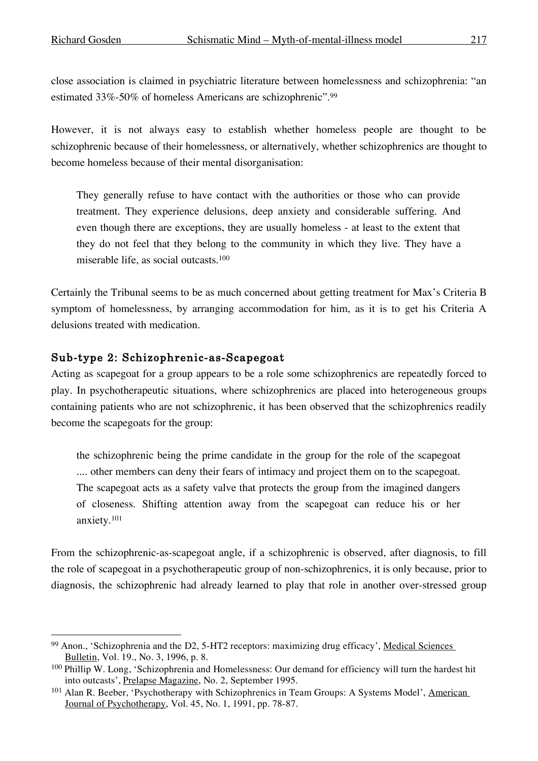close association is claimed in psychiatric literature between homelessness and schizophrenia: "an estimated 33%-50% of homeless Americans are schizophrenic".99

However, it is not always easy to establish whether homeless people are thought to be schizophrenic because of their homelessness, or alternatively, whether schizophrenics are thought to become homeless because of their mental disorganisation:

They generally refuse to have contact with the authorities or those who can provide treatment. They experience delusions, deep anxiety and considerable suffering. And even though there are exceptions, they are usually homeless - at least to the extent that they do not feel that they belong to the community in which they live. They have a miserable life, as social outcasts. 100

Certainly the Tribunal seems to be as much concerned about getting treatment for Max's Criteria B symptom of homelessness, by arranging accommodation for him, as it is to get his Criteria A delusions treated with medication.

#### Sub-type 2: Schizophrenic-as-Scapegoat

Acting as scapegoat for a group appears to be a role some schizophrenics are repeatedly forced to play. In psychotherapeutic situations, where schizophrenics are placed into heterogeneous groups containing patients who are not schizophrenic, it has been observed that the schizophrenics readily become the scapegoats for the group:

the schizophrenic being the prime candidate in the group for the role of the scapegoat .... other members can deny their fears of intimacy and project them on to the scapegoat. The scapegoat acts as a safety valve that protects the group from the imagined dangers of closeness. Shifting attention away from the scapegoat can reduce his or her anxiety.101

From the schizophrenic-as-scapegoat angle, if a schizophrenic is observed, after diagnosis, to fill the role of scapegoat in a psychotherapeutic group of non-schizophrenics, it is only because, prior to diagnosis, the schizophrenic had already learned to play that role in another over-stressed group

<sup>99</sup> Anon., 'Schizophrenia and the D2, 5-HT2 receptors: maximizing drug efficacy', Medical Sciences Bulletin, Vol. 19., No. 3, 1996, p. 8.

<sup>100</sup> Phillip W. Long, 'Schizophrenia and Homelessness: Our demand for efficiency will turn the hardest hit into outcasts', Prelapse Magazine, No. 2, September 1995.

<sup>&</sup>lt;sup>101</sup> Alan R. Beeber, 'Psychotherapy with Schizophrenics in Team Groups: A Systems Model', American Journal of Psychotherapy, Vol. 45, No. 1, 1991, pp. 78-87.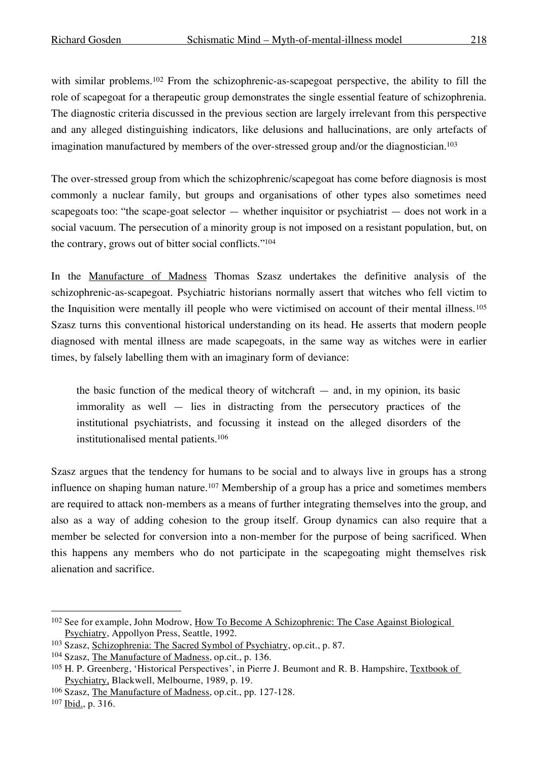with similar problems.<sup>102</sup> From the schizophrenic-as-scapegoat perspective, the ability to fill the role of scapegoat for a therapeutic group demonstrates the single essential feature of schizophrenia. The diagnostic criteria discussed in the previous section are largely irrelevant from this perspective and any alleged distinguishing indicators, like delusions and hallucinations, are only artefacts of imagination manufactured by members of the over-stressed group and/or the diagnostician.<sup>103</sup>

The over-stressed group from which the schizophrenic/scapegoat has come before diagnosis is most commonly a nuclear family, but groups and organisations of other types also sometimes need scapegoats too: "the scape-goat selector — whether inquisitor or psychiatrist — does not work in a social vacuum. The persecution of a minority group is not imposed on a resistant population, but, on the contrary, grows out of bitter social conflicts."104

In the Manufacture of Madness Thomas Szasz undertakes the definitive analysis of the schizophrenic-as-scapegoat. Psychiatric historians normally assert that witches who fell victim to the Inquisition were mentally ill people who were victimised on account of their mental illness.105 Szasz turns this conventional historical understanding on its head. He asserts that modern people diagnosed with mental illness are made scapegoats, in the same way as witches were in earlier times, by falsely labelling them with an imaginary form of deviance:

the basic function of the medical theory of witchcraft  $-$  and, in my opinion, its basic immorality as well — lies in distracting from the persecutory practices of the institutional psychiatrists, and focussing it instead on the alleged disorders of the institutionalised mental patients. 106

Szasz argues that the tendency for humans to be social and to always live in groups has a strong influence on shaping human nature.<sup>107</sup> Membership of a group has a price and sometimes members are required to attack non-members as a means of further integrating themselves into the group, and also as a way of adding cohesion to the group itself. Group dynamics can also require that a member be selected for conversion into a non-member for the purpose of being sacrificed. When this happens any members who do not participate in the scapegoating might themselves risk alienation and sacrifice.

<sup>&</sup>lt;sup>102</sup> See for example, John Modrow, How To Become A Schizophrenic: The Case Against Biological Psychiatry, Appollyon Press, Seattle, 1992.

<sup>103</sup> Szasz, Schizophrenia: The Sacred Symbol of Psychiatry, op.cit., p. 87.

<sup>104</sup> Szasz, The Manufacture of Madness, op.cit., p. 136.

<sup>105</sup> H. P. Greenberg, 'Historical Perspectives', in Pierre J. Beumont and R. B. Hampshire, Textbook of Psychiatry, Blackwell, Melbourne, 1989, p. 19.

<sup>106</sup> Szasz, The Manufacture of Madness, op.cit., pp. 127-128.

<sup>107</sup> Ibid., p. 316.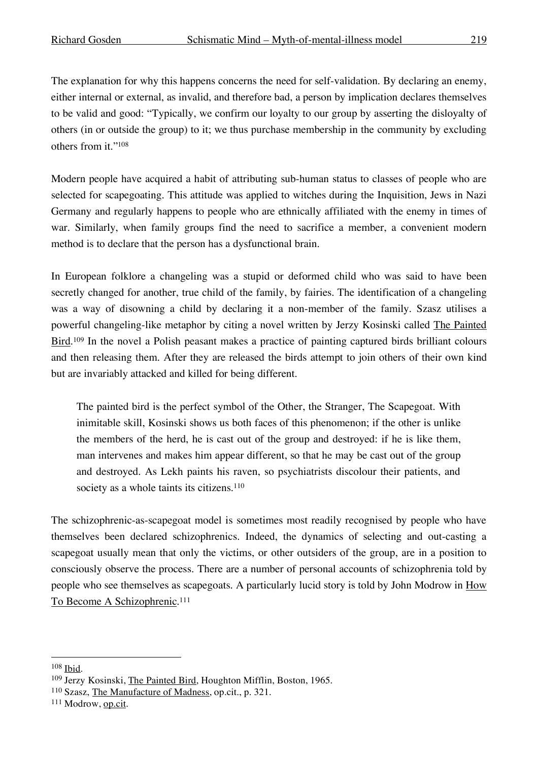The explanation for why this happens concerns the need for self-validation. By declaring an enemy, either internal or external, as invalid, and therefore bad, a person by implication declares themselves to be valid and good: "Typically, we confirm our loyalty to our group by asserting the disloyalty of others (in or outside the group) to it; we thus purchase membership in the community by excluding others from it."108

Modern people have acquired a habit of attributing sub-human status to classes of people who are selected for scapegoating. This attitude was applied to witches during the Inquisition, Jews in Nazi Germany and regularly happens to people who are ethnically affiliated with the enemy in times of war. Similarly, when family groups find the need to sacrifice a member, a convenient modern method is to declare that the person has a dysfunctional brain.

In European folklore a changeling was a stupid or deformed child who was said to have been secretly changed for another, true child of the family, by fairies. The identification of a changeling was a way of disowning a child by declaring it a non-member of the family. Szasz utilises a powerful changeling-like metaphor by citing a novel written by Jerzy Kosinski called The Painted Bird.<sup>109</sup> In the novel a Polish peasant makes a practice of painting captured birds brilliant colours and then releasing them. After they are released the birds attempt to join others of their own kind but are invariably attacked and killed for being different.

The painted bird is the perfect symbol of the Other, the Stranger, The Scapegoat. With inimitable skill, Kosinski shows us both faces of this phenomenon; if the other is unlike the members of the herd, he is cast out of the group and destroyed: if he is like them, man intervenes and makes him appear different, so that he may be cast out of the group and destroyed. As Lekh paints his raven, so psychiatrists discolour their patients, and society as a whole taints its citizens.<sup>110</sup>

The schizophrenic-as-scapegoat model is sometimes most readily recognised by people who have themselves been declared schizophrenics. Indeed, the dynamics of selecting and out-casting a scapegoat usually mean that only the victims, or other outsiders of the group, are in a position to consciously observe the process. There are a number of personal accounts of schizophrenia told by people who see themselves as scapegoats. A particularly lucid story is told by John Modrow in How To Become A Schizophrenic. 111

 <sup>108</sup> Ibid.

<sup>109</sup> Jerzy Kosinski, The Painted Bird, Houghton Mifflin, Boston, 1965.

<sup>110</sup> Szasz, The Manufacture of Madness, op.cit., p. 321.

<sup>111</sup> Modrow, op.cit.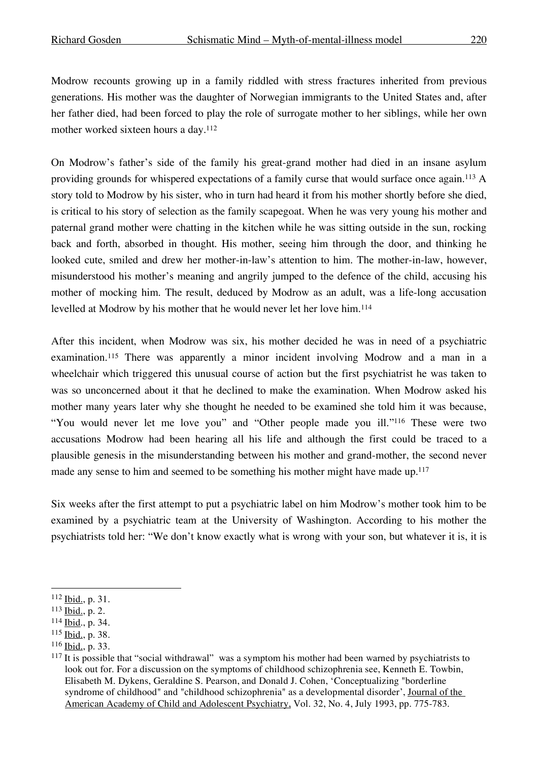Modrow recounts growing up in a family riddled with stress fractures inherited from previous generations. His mother was the daughter of Norwegian immigrants to the United States and, after her father died, had been forced to play the role of surrogate mother to her siblings, while her own mother worked sixteen hours a day.112

On Modrow's father's side of the family his great-grand mother had died in an insane asylum providing grounds for whispered expectations of a family curse that would surface once again.113 A story told to Modrow by his sister, who in turn had heard it from his mother shortly before she died, is critical to his story of selection as the family scapegoat. When he was very young his mother and paternal grand mother were chatting in the kitchen while he was sitting outside in the sun, rocking back and forth, absorbed in thought. His mother, seeing him through the door, and thinking he looked cute, smiled and drew her mother-in-law's attention to him. The mother-in-law, however, misunderstood his mother's meaning and angrily jumped to the defence of the child, accusing his mother of mocking him. The result, deduced by Modrow as an adult, was a life-long accusation levelled at Modrow by his mother that he would never let her love him. 114

After this incident, when Modrow was six, his mother decided he was in need of a psychiatric examination.115 There was apparently a minor incident involving Modrow and a man in a wheelchair which triggered this unusual course of action but the first psychiatrist he was taken to was so unconcerned about it that he declined to make the examination. When Modrow asked his mother many years later why she thought he needed to be examined she told him it was because, "You would never let me love you" and "Other people made you ill."116 These were two accusations Modrow had been hearing all his life and although the first could be traced to a plausible genesis in the misunderstanding between his mother and grand-mother, the second never made any sense to him and seemed to be something his mother might have made up.<sup>117</sup>

Six weeks after the first attempt to put a psychiatric label on him Modrow's mother took him to be examined by a psychiatric team at the University of Washington. According to his mother the psychiatrists told her: "We don't know exactly what is wrong with your son, but whatever it is, it is

 <sup>112</sup> Ibid., p. 31.

<sup>113</sup> Ibid., p. 2.

<sup>114</sup> Ibid., p. 34.

<sup>115</sup> Ibid., p. 38.

<sup>116</sup> Ibid., p. 33.

<sup>&</sup>lt;sup>117</sup> It is possible that "social withdrawal" was a symptom his mother had been warned by psychiatrists to look out for. For a discussion on the symptoms of childhood schizophrenia see, Kenneth E. Towbin, Elisabeth M. Dykens, Geraldine S. Pearson, and Donald J. Cohen, 'Conceptualizing "borderline syndrome of childhood" and "childhood schizophrenia" as a developmental disorder', Journal of the American Academy of Child and Adolescent Psychiatry, Vol. 32, No. 4, July 1993, pp. 775-783.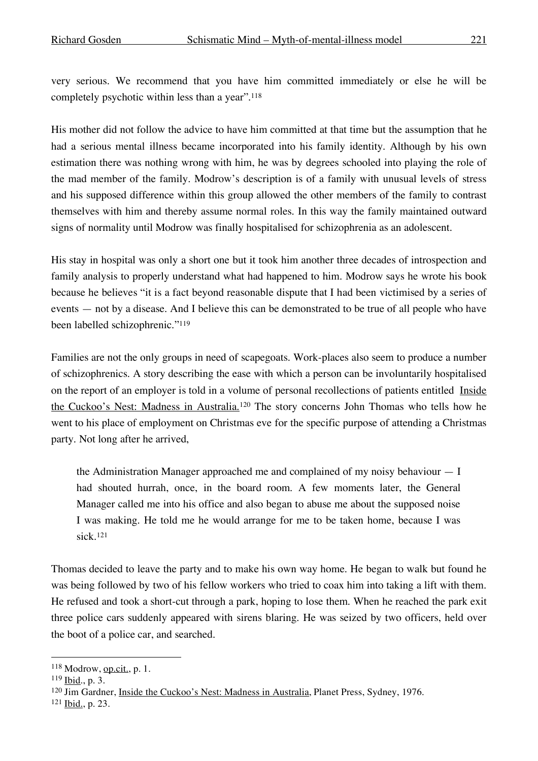very serious. We recommend that you have him committed immediately or else he will be completely psychotic within less than a year". 118

His mother did not follow the advice to have him committed at that time but the assumption that he had a serious mental illness became incorporated into his family identity. Although by his own estimation there was nothing wrong with him, he was by degrees schooled into playing the role of the mad member of the family. Modrow's description is of a family with unusual levels of stress and his supposed difference within this group allowed the other members of the family to contrast themselves with him and thereby assume normal roles. In this way the family maintained outward signs of normality until Modrow was finally hospitalised for schizophrenia as an adolescent.

His stay in hospital was only a short one but it took him another three decades of introspection and family analysis to properly understand what had happened to him. Modrow says he wrote his book because he believes "it is a fact beyond reasonable dispute that I had been victimised by a series of events — not by a disease. And I believe this can be demonstrated to be true of all people who have been labelled schizophrenic."119

Families are not the only groups in need of scapegoats. Work-places also seem to produce a number of schizophrenics. A story describing the ease with which a person can be involuntarily hospitalised on the report of an employer is told in a volume of personal recollections of patients entitled Inside the Cuckoo's Nest: Madness in Australia.<sup>120</sup> The story concerns John Thomas who tells how he went to his place of employment on Christmas eve for the specific purpose of attending a Christmas party. Not long after he arrived,

the Administration Manager approached me and complained of my noisy behaviour — I had shouted hurrah, once, in the board room. A few moments later, the General Manager called me into his office and also began to abuse me about the supposed noise I was making. He told me he would arrange for me to be taken home, because I was sick.121

Thomas decided to leave the party and to make his own way home. He began to walk but found he was being followed by two of his fellow workers who tried to coax him into taking a lift with them. He refused and took a short-cut through a park, hoping to lose them. When he reached the park exit three police cars suddenly appeared with sirens blaring. He was seized by two officers, held over the boot of a police car, and searched.

 $118$  Modrow, op.cit., p. 1.

<sup>119</sup> Ibid., p. 3.

<sup>120</sup> Jim Gardner, Inside the Cuckoo's Nest: Madness in Australia, Planet Press, Sydney, 1976.

<sup>121</sup> Ibid., p. 23.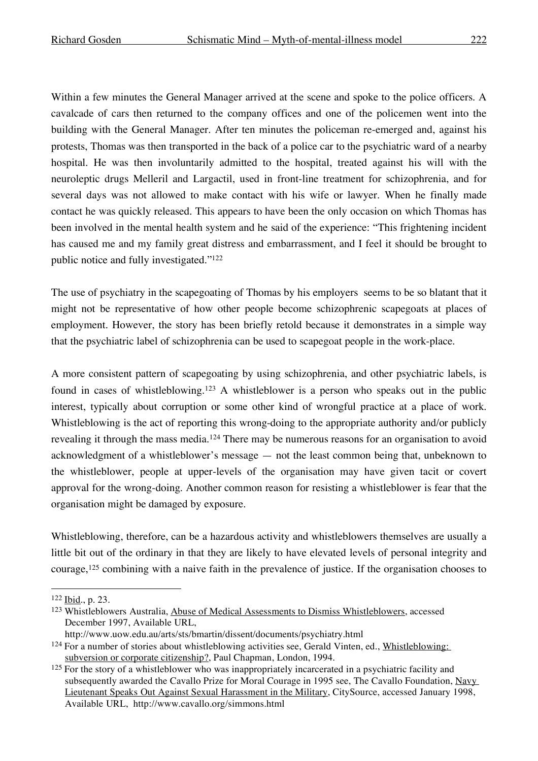Within a few minutes the General Manager arrived at the scene and spoke to the police officers. A cavalcade of cars then returned to the company offices and one of the policemen went into the building with the General Manager. After ten minutes the policeman re-emerged and, against his protests, Thomas was then transported in the back of a police car to the psychiatric ward of a nearby hospital. He was then involuntarily admitted to the hospital, treated against his will with the neuroleptic drugs Melleril and Largactil, used in front-line treatment for schizophrenia, and for several days was not allowed to make contact with his wife or lawyer. When he finally made contact he was quickly released. This appears to have been the only occasion on which Thomas has been involved in the mental health system and he said of the experience: "This frightening incident has caused me and my family great distress and embarrassment, and I feel it should be brought to public notice and fully investigated."122

The use of psychiatry in the scapegoating of Thomas by his employers seems to be so blatant that it might not be representative of how other people become schizophrenic scapegoats at places of employment. However, the story has been briefly retold because it demonstrates in a simple way that the psychiatric label of schizophrenia can be used to scapegoat people in the work-place.

A more consistent pattern of scapegoating by using schizophrenia, and other psychiatric labels, is found in cases of whistleblowing.123 A whistleblower is a person who speaks out in the public interest, typically about corruption or some other kind of wrongful practice at a place of work. Whistleblowing is the act of reporting this wrong-doing to the appropriate authority and/or publicly revealing it through the mass media.<sup>124</sup> There may be numerous reasons for an organisation to avoid acknowledgment of a whistleblower's message — not the least common being that, unbeknown to the whistleblower, people at upper-levels of the organisation may have given tacit or covert approval for the wrong-doing. Another common reason for resisting a whistleblower is fear that the organisation might be damaged by exposure.

Whistleblowing, therefore, can be a hazardous activity and whistleblowers themselves are usually a little bit out of the ordinary in that they are likely to have elevated levels of personal integrity and courage,125 combining with a naive faith in the prevalence of justice. If the organisation chooses to

 <sup>122</sup> Ibid., p. 23.

<sup>123</sup> Whistleblowers Australia, Abuse of Medical Assessments to Dismiss Whistleblowers, accessed December 1997, Available URL,

http://www.uow.edu.au/arts/sts/bmartin/dissent/documents/psychiatry.html

<sup>&</sup>lt;sup>124</sup> For a number of stories about whistleblowing activities see, Gerald Vinten, ed., Whistleblowing: subversion or corporate citizenship?, Paul Chapman, London, 1994.

<sup>&</sup>lt;sup>125</sup> For the story of a whistleblower who was inappropriately incarcerated in a psychiatric facility and subsequently awarded the Cavallo Prize for Moral Courage in 1995 see, The Cavallo Foundation, Navy Lieutenant Speaks Out Against Sexual Harassment in the Military, CitySource, accessed January 1998, Available URL, http://www.cavallo.org/simmons.html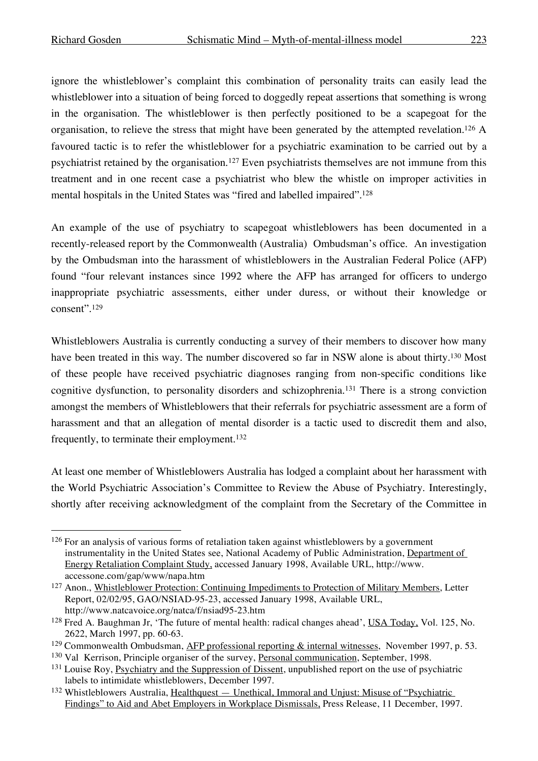ignore the whistleblower's complaint this combination of personality traits can easily lead the whistleblower into a situation of being forced to doggedly repeat assertions that something is wrong in the organisation. The whistleblower is then perfectly positioned to be a scapegoat for the organisation, to relieve the stress that might have been generated by the attempted revelation.126 A favoured tactic is to refer the whistleblower for a psychiatric examination to be carried out by a psychiatrist retained by the organisation.127 Even psychiatrists themselves are not immune from this treatment and in one recent case a psychiatrist who blew the whistle on improper activities in mental hospitals in the United States was "fired and labelled impaired". 128

An example of the use of psychiatry to scapegoat whistleblowers has been documented in a recently-released report by the Commonwealth (Australia) Ombudsman's office. An investigation by the Ombudsman into the harassment of whistleblowers in the Australian Federal Police (AFP) found "four relevant instances since 1992 where the AFP has arranged for officers to undergo inappropriate psychiatric assessments, either under duress, or without their knowledge or consent". 129

Whistleblowers Australia is currently conducting a survey of their members to discover how many have been treated in this way. The number discovered so far in NSW alone is about thirty.130 Most of these people have received psychiatric diagnoses ranging from non-specific conditions like cognitive dysfunction, to personality disorders and schizophrenia.131 There is a strong conviction amongst the members of Whistleblowers that their referrals for psychiatric assessment are a form of harassment and that an allegation of mental disorder is a tactic used to discredit them and also, frequently, to terminate their employment. 132

At least one member of Whistleblowers Australia has lodged a complaint about her harassment with the World Psychiatric Association's Committee to Review the Abuse of Psychiatry. Interestingly, shortly after receiving acknowledgment of the complaint from the Secretary of the Committee in

<sup>&</sup>lt;sup>126</sup> For an analysis of various forms of retaliation taken against whistleblowers by a government instrumentality in the United States see, National Academy of Public Administration, Department of Energy Retaliation Complaint Study, accessed January 1998, Available URL, http://www. accessone.com/gap/www/napa.htm

<sup>&</sup>lt;sup>127</sup> Anon., Whistleblower Protection: Continuing Impediments to Protection of Military Members, Letter Report, 02/02/95, GAO/NSIAD-95-23, accessed January 1998, Available URL, http://www.natcavoice.org/natca/f/nsiad95-23.htm

<sup>&</sup>lt;sup>128</sup> Fred A. Baughman Jr, 'The future of mental health: radical changes ahead', USA Today, Vol. 125, No. 2622, March 1997, pp. 60-63.

<sup>&</sup>lt;sup>129</sup> Commonwealth Ombudsman, AFP professional reporting  $\&$  internal witnesses, November 1997, p. 53.

<sup>&</sup>lt;sup>130</sup> Val Kerrison, Principle organiser of the survey, Personal communication, September, 1998.

<sup>&</sup>lt;sup>131</sup> Louise Roy, Psychiatry and the Suppression of Dissent, unpublished report on the use of psychiatric labels to intimidate whistleblowers, December 1997.

<sup>132</sup> Whistleblowers Australia, Healthquest — Unethical, Immoral and Unjust: Misuse of "Psychiatric Findings" to Aid and Abet Employers in Workplace Dismissals, Press Release, 11 December, 1997.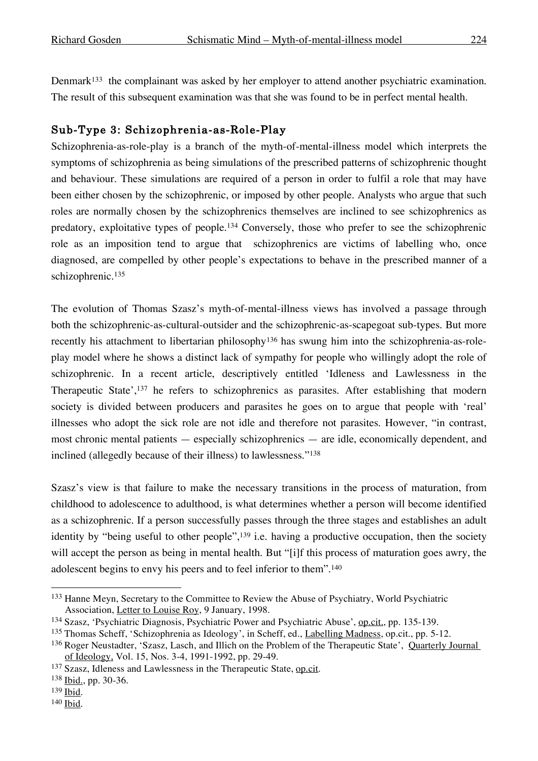Denmark<sup>133</sup> the complainant was asked by her employer to attend another psychiatric examination. The result of this subsequent examination was that she was found to be in perfect mental health.

### Sub-Type 3: Schizophrenia-as-Role-Play

Schizophrenia-as-role-play is a branch of the myth-of-mental-illness model which interprets the symptoms of schizophrenia as being simulations of the prescribed patterns of schizophrenic thought and behaviour. These simulations are required of a person in order to fulfil a role that may have been either chosen by the schizophrenic, or imposed by other people. Analysts who argue that such roles are normally chosen by the schizophrenics themselves are inclined to see schizophrenics as predatory, exploitative types of people. <sup>134</sup> Conversely, those who prefer to see the schizophrenic role as an imposition tend to argue that schizophrenics are victims of labelling who, once diagnosed, are compelled by other people's expectations to behave in the prescribed manner of a schizophrenic. 135

The evolution of Thomas Szasz's myth-of-mental-illness views has involved a passage through both the schizophrenic-as-cultural-outsider and the schizophrenic-as-scapegoat sub-types. But more recently his attachment to libertarian philosophy<sup>136</sup> has swung him into the schizophrenia-as-roleplay model where he shows a distinct lack of sympathy for people who willingly adopt the role of schizophrenic. In a recent article, descriptively entitled 'Idleness and Lawlessness in the Therapeutic State', <sup>137</sup> he refers to schizophrenics as parasites. After establishing that modern society is divided between producers and parasites he goes on to argue that people with 'real' illnesses who adopt the sick role are not idle and therefore not parasites. However, "in contrast, most chronic mental patients — especially schizophrenics — are idle, economically dependent, and inclined (allegedly because of their illness) to lawlessness."138

Szasz's view is that failure to make the necessary transitions in the process of maturation, from childhood to adolescence to adulthood, is what determines whether a person will become identified as a schizophrenic. If a person successfully passes through the three stages and establishes an adult identity by "being useful to other people",<sup>139</sup> i.e. having a productive occupation, then the society will accept the person as being in mental health. But "[i]f this process of maturation goes awry, the adolescent begins to envy his peers and to feel inferior to them". 140

 <sup>133</sup> Hanne Meyn, Secretary to the Committee to Review the Abuse of Psychiatry, World Psychiatric Association, Letter to Louise Roy, 9 January, 1998.

<sup>134</sup> Szasz, 'Psychiatric Diagnosis, Psychiatric Power and Psychiatric Abuse', op.cit., pp. 135-139.

<sup>135</sup> Thomas Scheff, 'Schizophrenia as Ideology', in Scheff, ed., Labelling Madness, op.cit., pp. 5-12.

<sup>136</sup> Roger Neustadter, 'Szasz, Lasch, and Illich on the Problem of the Therapeutic State', Quarterly Journal of Ideology, Vol. 15, Nos. 3-4, 1991-1992, pp. 29-49.

<sup>137</sup> Szasz, Idleness and Lawlessness in the Therapeutic State, op.cit.

<sup>138</sup> Ibid., pp. 30-36.

<sup>139</sup> Ibid.

<sup>140</sup> Ibid.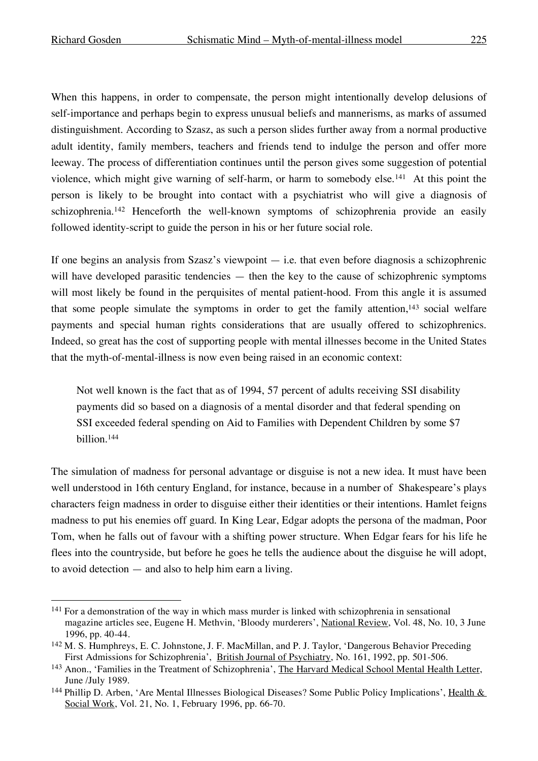When this happens, in order to compensate, the person might intentionally develop delusions of self-importance and perhaps begin to express unusual beliefs and mannerisms, as marks of assumed distinguishment. According to Szasz, as such a person slides further away from a normal productive adult identity, family members, teachers and friends tend to indulge the person and offer more leeway. The process of differentiation continues until the person gives some suggestion of potential violence, which might give warning of self-harm, or harm to somebody else.141 At this point the person is likely to be brought into contact with a psychiatrist who will give a diagnosis of schizophrenia.<sup>142</sup> Henceforth the well-known symptoms of schizophrenia provide an easily followed identity-script to guide the person in his or her future social role.

If one begins an analysis from Szasz's viewpoint  $-$  i.e. that even before diagnosis a schizophrenic will have developed parasitic tendencies — then the key to the cause of schizophrenic symptoms will most likely be found in the perquisites of mental patient-hood. From this angle it is assumed that some people simulate the symptoms in order to get the family attention, $143$  social welfare payments and special human rights considerations that are usually offered to schizophrenics. Indeed, so great has the cost of supporting people with mental illnesses become in the United States that the myth-of-mental-illness is now even being raised in an economic context:

Not well known is the fact that as of 1994, 57 percent of adults receiving SSI disability payments did so based on a diagnosis of a mental disorder and that federal spending on SSI exceeded federal spending on Aid to Families with Dependent Children by some \$7 billion.144

The simulation of madness for personal advantage or disguise is not a new idea. It must have been well understood in 16th century England, for instance, because in a number of Shakespeare's plays characters feign madness in order to disguise either their identities or their intentions. Hamlet feigns madness to put his enemies off guard. In King Lear, Edgar adopts the persona of the madman, Poor Tom, when he falls out of favour with a shifting power structure. When Edgar fears for his life he flees into the countryside, but before he goes he tells the audience about the disguise he will adopt, to avoid detection — and also to help him earn a living.

<sup>&</sup>lt;sup>141</sup> For a demonstration of the way in which mass murder is linked with schizophrenia in sensational magazine articles see, Eugene H. Methvin, 'Bloody murderers', National Review, Vol. 48, No. 10, 3 June 1996, pp. 40-44.

<sup>142</sup> M. S. Humphreys, E. C. Johnstone, J. F. MacMillan, and P. J. Taylor, 'Dangerous Behavior Preceding First Admissions for Schizophrenia', British Journal of Psychiatry, No. 161, 1992, pp. 501-506.

<sup>143</sup> Anon., 'Families in the Treatment of Schizophrenia', The Harvard Medical School Mental Health Letter, June /July 1989.

<sup>&</sup>lt;sup>144</sup> Phillip D. Arben, 'Are Mental Illnesses Biological Diseases? Some Public Policy Implications', Health & Social Work, Vol. 21, No. 1, February 1996, pp. 66-70.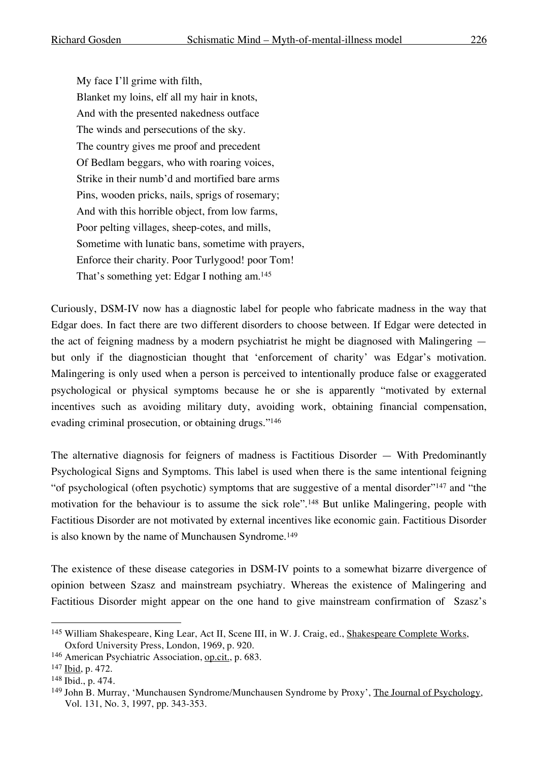My face I'll grime with filth, Blanket my loins, elf all my hair in knots, And with the presented nakedness outface The winds and persecutions of the sky. The country gives me proof and precedent Of Bedlam beggars, who with roaring voices, Strike in their numb'd and mortified bare arms Pins, wooden pricks, nails, sprigs of rosemary; And with this horrible object, from low farms, Poor pelting villages, sheep-cotes, and mills, Sometime with lunatic bans, sometime with prayers, Enforce their charity. Poor Turlygood! poor Tom! That's something yet: Edgar I nothing am. 145

Curiously, DSM-IV now has a diagnostic label for people who fabricate madness in the way that Edgar does. In fact there are two different disorders to choose between. If Edgar were detected in the act of feigning madness by a modern psychiatrist he might be diagnosed with Malingering but only if the diagnostician thought that 'enforcement of charity' was Edgar's motivation. Malingering is only used when a person is perceived to intentionally produce false or exaggerated psychological or physical symptoms because he or she is apparently "motivated by external incentives such as avoiding military duty, avoiding work, obtaining financial compensation, evading criminal prosecution, or obtaining drugs."146

The alternative diagnosis for feigners of madness is Factitious Disorder — With Predominantly Psychological Signs and Symptoms. This label is used when there is the same intentional feigning "of psychological (often psychotic) symptoms that are suggestive of a mental disorder"147 and "the motivation for the behaviour is to assume the sick role".148 But unlike Malingering, people with Factitious Disorder are not motivated by external incentives like economic gain. Factitious Disorder is also known by the name of Munchausen Syndrome.<sup>149</sup>

The existence of these disease categories in DSM-IV points to a somewhat bizarre divergence of opinion between Szasz and mainstream psychiatry. Whereas the existence of Malingering and Factitious Disorder might appear on the one hand to give mainstream confirmation of Szasz's

 <sup>145</sup> William Shakespeare, King Lear, Act II, Scene III, in W. J. Craig, ed., Shakespeare Complete Works, Oxford University Press, London, 1969, p. 920.

<sup>146</sup> American Psychiatric Association, op.cit., p. 683.

<sup>147</sup> Ibid, p. 472.

<sup>148</sup> Ibid., p. 474.

<sup>149</sup> John B. Murray, 'Munchausen Syndrome/Munchausen Syndrome by Proxy', The Journal of Psychology, Vol. 131, No. 3, 1997, pp. 343-353.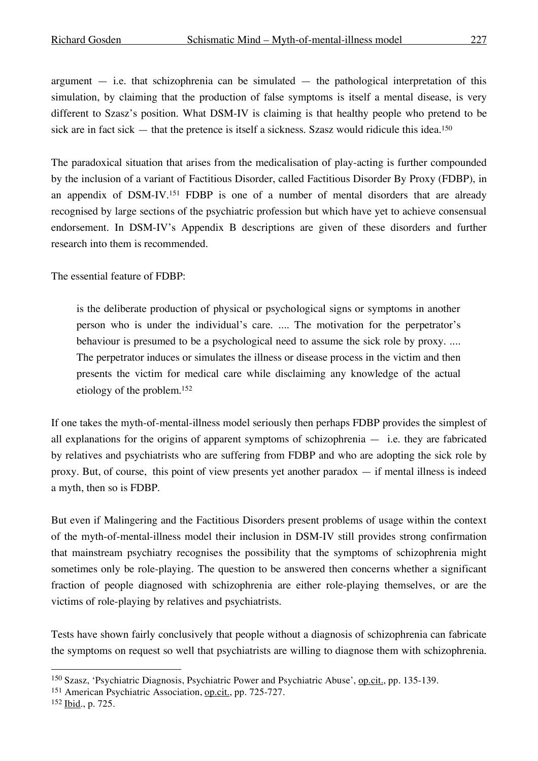The paradoxical situation that arises from the medicalisation of play-acting is further compounded by the inclusion of a variant of Factitious Disorder, called Factitious Disorder By Proxy (FDBP), in an appendix of DSM-IV.<sup>151</sup> FDBP is one of a number of mental disorders that are already recognised by large sections of the psychiatric profession but which have yet to achieve consensual endorsement. In DSM-IV's Appendix B descriptions are given of these disorders and further research into them is recommended.

The essential feature of FDBP:

is the deliberate production of physical or psychological signs or symptoms in another person who is under the individual's care. .... The motivation for the perpetrator's behaviour is presumed to be a psychological need to assume the sick role by proxy. .... The perpetrator induces or simulates the illness or disease process in the victim and then presents the victim for medical care while disclaiming any knowledge of the actual etiology of the problem. 152

If one takes the myth-of-mental-illness model seriously then perhaps FDBP provides the simplest of all explanations for the origins of apparent symptoms of schizophrenia — i.e. they are fabricated by relatives and psychiatrists who are suffering from FDBP and who are adopting the sick role by proxy. But, of course, this point of view presents yet another paradox  $-$  if mental illness is indeed a myth, then so is FDBP.

But even if Malingering and the Factitious Disorders present problems of usage within the context of the myth-of-mental-illness model their inclusion in DSM-IV still provides strong confirmation that mainstream psychiatry recognises the possibility that the symptoms of schizophrenia might sometimes only be role-playing. The question to be answered then concerns whether a significant fraction of people diagnosed with schizophrenia are either role-playing themselves, or are the victims of role-playing by relatives and psychiatrists.

Tests have shown fairly conclusively that people without a diagnosis of schizophrenia can fabricate the symptoms on request so well that psychiatrists are willing to diagnose them with schizophrenia.

 <sup>150</sup> Szasz, 'Psychiatric Diagnosis, Psychiatric Power and Psychiatric Abuse', op.cit., pp. 135-139.

<sup>151</sup> American Psychiatric Association, op.cit., pp. 725-727.

<sup>152</sup> Ibid., p. 725.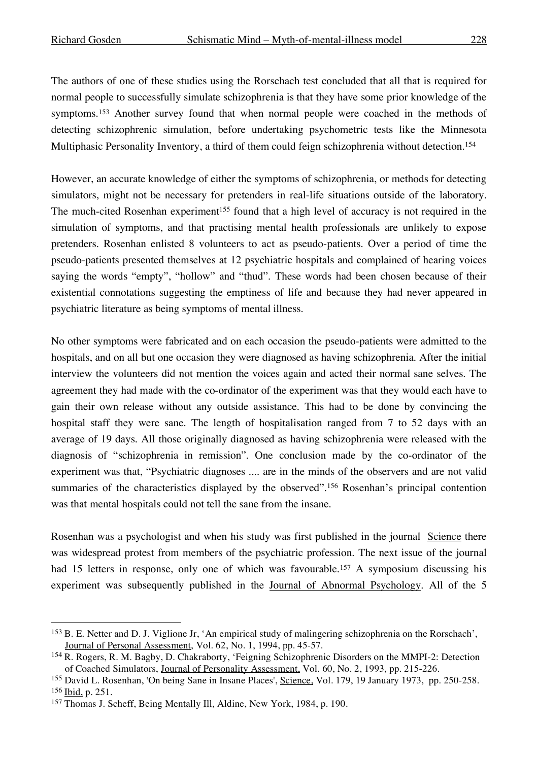The authors of one of these studies using the Rorschach test concluded that all that is required for normal people to successfully simulate schizophrenia is that they have some prior knowledge of the symptoms.<sup>153</sup> Another survey found that when normal people were coached in the methods of detecting schizophrenic simulation, before undertaking psychometric tests like the Minnesota Multiphasic Personality Inventory, a third of them could feign schizophrenia without detection.<sup>154</sup>

However, an accurate knowledge of either the symptoms of schizophrenia, or methods for detecting simulators, might not be necessary for pretenders in real-life situations outside of the laboratory. The much-cited Rosenhan experiment<sup>155</sup> found that a high level of accuracy is not required in the simulation of symptoms, and that practising mental health professionals are unlikely to expose pretenders. Rosenhan enlisted 8 volunteers to act as pseudo-patients. Over a period of time the pseudo-patients presented themselves at 12 psychiatric hospitals and complained of hearing voices saying the words "empty", "hollow" and "thud". These words had been chosen because of their existential connotations suggesting the emptiness of life and because they had never appeared in psychiatric literature as being symptoms of mental illness.

No other symptoms were fabricated and on each occasion the pseudo-patients were admitted to the hospitals, and on all but one occasion they were diagnosed as having schizophrenia. After the initial interview the volunteers did not mention the voices again and acted their normal sane selves. The agreement they had made with the co-ordinator of the experiment was that they would each have to gain their own release without any outside assistance. This had to be done by convincing the hospital staff they were sane. The length of hospitalisation ranged from 7 to 52 days with an average of 19 days. All those originally diagnosed as having schizophrenia were released with the diagnosis of "schizophrenia in remission". One conclusion made by the co-ordinator of the experiment was that, "Psychiatric diagnoses .... are in the minds of the observers and are not valid summaries of the characteristics displayed by the observed".<sup>156</sup> Rosenhan's principal contention was that mental hospitals could not tell the sane from the insane.

Rosenhan was a psychologist and when his study was first published in the journal Science there was widespread protest from members of the psychiatric profession. The next issue of the journal had 15 letters in response, only one of which was favourable.<sup>157</sup> A symposium discussing his experiment was subsequently published in the Journal of Abnormal Psychology. All of the 5

 <sup>153</sup> B. E. Netter and D. J. Viglione Jr, 'An empirical study of malingering schizophrenia on the Rorschach', Journal of Personal Assessment, Vol. 62, No. 1, 1994, pp. 45-57.

<sup>154</sup> R. Rogers, R. M. Bagby, D. Chakraborty, 'Feigning Schizophrenic Disorders on the MMPI-2: Detection of Coached Simulators, Journal of Personality Assessment, Vol. 60, No. 2, 1993, pp. 215-226.

<sup>&</sup>lt;sup>155</sup> David L. Rosenhan, 'On being Sane in Insane Places', Science, Vol. 179, 19 January 1973, pp. 250-258. <sup>156</sup> Ibid, p. 251.

<sup>&</sup>lt;sup>157</sup> Thomas J. Scheff, *Being Mentally Ill*, Aldine, New York, 1984, p. 190.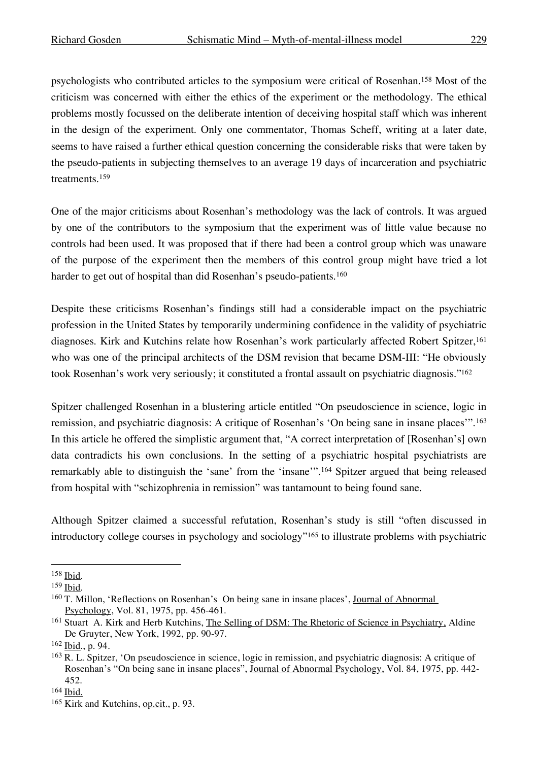psychologists who contributed articles to the symposium were critical of Rosenhan.158 Most of the criticism was concerned with either the ethics of the experiment or the methodology. The ethical problems mostly focussed on the deliberate intention of deceiving hospital staff which was inherent in the design of the experiment. Only one commentator, Thomas Scheff, writing at a later date, seems to have raised a further ethical question concerning the considerable risks that were taken by the pseudo-patients in subjecting themselves to an average 19 days of incarceration and psychiatric treatments. 159

One of the major criticisms about Rosenhan's methodology was the lack of controls. It was argued by one of the contributors to the symposium that the experiment was of little value because no controls had been used. It was proposed that if there had been a control group which was unaware of the purpose of the experiment then the members of this control group might have tried a lot harder to get out of hospital than did Rosenhan's pseudo-patients.<sup>160</sup>

Despite these criticisms Rosenhan's findings still had a considerable impact on the psychiatric profession in the United States by temporarily undermining confidence in the validity of psychiatric diagnoses. Kirk and Kutchins relate how Rosenhan's work particularly affected Robert Spitzer, 161 who was one of the principal architects of the DSM revision that became DSM-III: "He obviously took Rosenhan's work very seriously; it constituted a frontal assault on psychiatric diagnosis."162

Spitzer challenged Rosenhan in a blustering article entitled "On pseudoscience in science, logic in remission, and psychiatric diagnosis: A critique of Rosenhan's 'On being sane in insane places'".163 In this article he offered the simplistic argument that, "A correct interpretation of [Rosenhan's] own data contradicts his own conclusions. In the setting of a psychiatric hospital psychiatrists are remarkably able to distinguish the 'sane' from the 'insane'". <sup>164</sup> Spitzer argued that being released from hospital with "schizophrenia in remission" was tantamount to being found sane.

Although Spitzer claimed a successful refutation, Rosenhan's study is still "often discussed in introductory college courses in psychology and sociology"165 to illustrate problems with psychiatric

 <sup>158</sup> Ibid.

<sup>159</sup> Ibid.

<sup>&</sup>lt;sup>160</sup> T. Millon, 'Reflections on Rosenhan's On being sane in insane places', <u>Journal of Abnormal</u> Psychology, Vol. 81, 1975, pp. 456-461.

<sup>161</sup> Stuart A. Kirk and Herb Kutchins, The Selling of DSM: The Rhetoric of Science in Psychiatry, Aldine De Gruyter, New York, 1992, pp. 90-97.

<sup>162</sup> Ibid., p. 94.

<sup>163</sup> R. L. Spitzer, 'On pseudoscience in science, logic in remission, and psychiatric diagnosis: A critique of Rosenhan's "On being sane in insane places", Journal of Abnormal Psychology, Vol. 84, 1975, pp. 442- 452.

<sup>164</sup> Ibid.

<sup>165</sup> Kirk and Kutchins, op.cit., p. 93.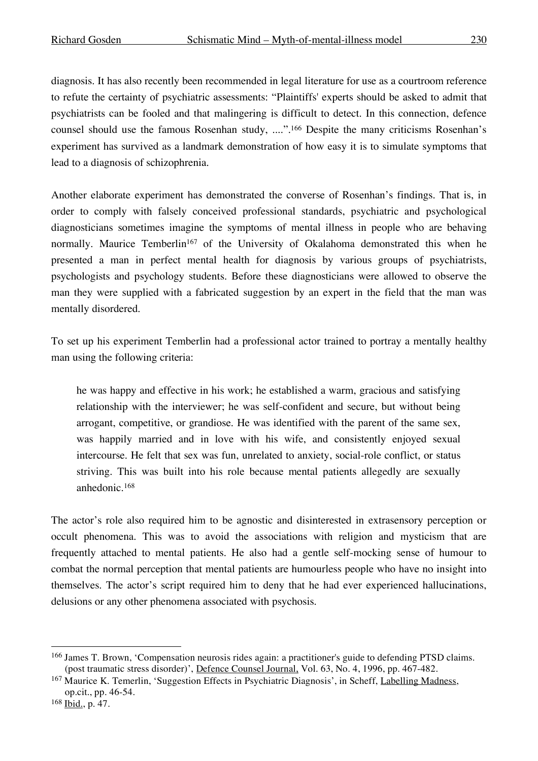diagnosis. It has also recently been recommended in legal literature for use as a courtroom reference to refute the certainty of psychiatric assessments: "Plaintiffs' experts should be asked to admit that psychiatrists can be fooled and that malingering is difficult to detect. In this connection, defence counsel should use the famous Rosenhan study, ....". <sup>166</sup> Despite the many criticisms Rosenhan's experiment has survived as a landmark demonstration of how easy it is to simulate symptoms that lead to a diagnosis of schizophrenia.

Another elaborate experiment has demonstrated the converse of Rosenhan's findings. That is, in order to comply with falsely conceived professional standards, psychiatric and psychological diagnosticians sometimes imagine the symptoms of mental illness in people who are behaving normally. Maurice Temberlin<sup>167</sup> of the University of Okalahoma demonstrated this when he presented a man in perfect mental health for diagnosis by various groups of psychiatrists, psychologists and psychology students. Before these diagnosticians were allowed to observe the man they were supplied with a fabricated suggestion by an expert in the field that the man was mentally disordered.

To set up his experiment Temberlin had a professional actor trained to portray a mentally healthy man using the following criteria:

he was happy and effective in his work; he established a warm, gracious and satisfying relationship with the interviewer; he was self-confident and secure, but without being arrogant, competitive, or grandiose. He was identified with the parent of the same sex, was happily married and in love with his wife, and consistently enjoyed sexual intercourse. He felt that sex was fun, unrelated to anxiety, social-role conflict, or status striving. This was built into his role because mental patients allegedly are sexually anhedonic.168

The actor's role also required him to be agnostic and disinterested in extrasensory perception or occult phenomena. This was to avoid the associations with religion and mysticism that are frequently attached to mental patients. He also had a gentle self-mocking sense of humour to combat the normal perception that mental patients are humourless people who have no insight into themselves. The actor's script required him to deny that he had ever experienced hallucinations, delusions or any other phenomena associated with psychosis.

 <sup>166</sup> James T. Brown, 'Compensation neurosis rides again: a practitioner's guide to defending PTSD claims. (post traumatic stress disorder)', Defence Counsel Journal, Vol. 63, No. 4, 1996, pp. 467-482.

<sup>167</sup> Maurice K. Temerlin, 'Suggestion Effects in Psychiatric Diagnosis', in Scheff, Labelling Madness, op.cit., pp. 46-54.

<sup>168</sup> Ibid., p. 47.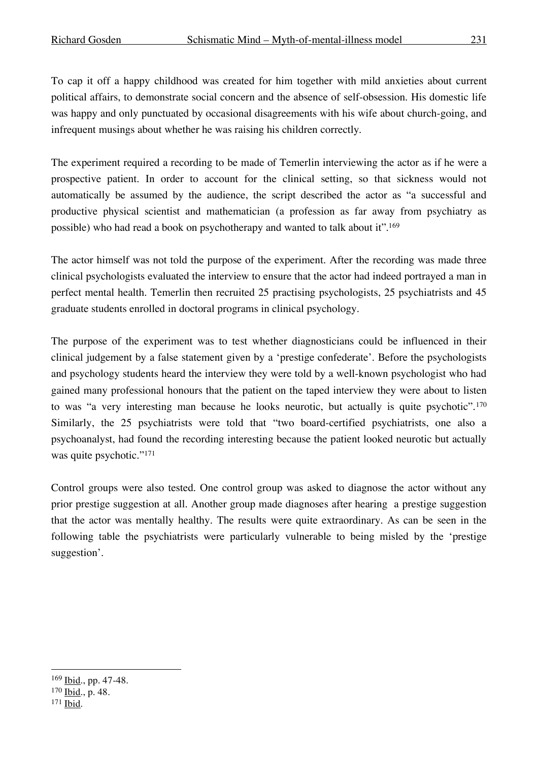To cap it off a happy childhood was created for him together with mild anxieties about current political affairs, to demonstrate social concern and the absence of self-obsession. His domestic life was happy and only punctuated by occasional disagreements with his wife about church-going, and infrequent musings about whether he was raising his children correctly.

The experiment required a recording to be made of Temerlin interviewing the actor as if he were a prospective patient. In order to account for the clinical setting, so that sickness would not automatically be assumed by the audience, the script described the actor as "a successful and productive physical scientist and mathematician (a profession as far away from psychiatry as possible) who had read a book on psychotherapy and wanted to talk about it". 169

The actor himself was not told the purpose of the experiment. After the recording was made three clinical psychologists evaluated the interview to ensure that the actor had indeed portrayed a man in perfect mental health. Temerlin then recruited 25 practising psychologists, 25 psychiatrists and 45 graduate students enrolled in doctoral programs in clinical psychology.

The purpose of the experiment was to test whether diagnosticians could be influenced in their clinical judgement by a false statement given by a 'prestige confederate'. Before the psychologists and psychology students heard the interview they were told by a well-known psychologist who had gained many professional honours that the patient on the taped interview they were about to listen to was "a very interesting man because he looks neurotic, but actually is quite psychotic".170 Similarly, the 25 psychiatrists were told that "two board-certified psychiatrists, one also a psychoanalyst, had found the recording interesting because the patient looked neurotic but actually was quite psychotic."<sup>171</sup>

Control groups were also tested. One control group was asked to diagnose the actor without any prior prestige suggestion at all. Another group made diagnoses after hearing a prestige suggestion that the actor was mentally healthy. The results were quite extraordinary. As can be seen in the following table the psychiatrists were particularly vulnerable to being misled by the 'prestige suggestion'.

 <sup>169</sup> Ibid., pp. 47-48.

<sup>170</sup> Ibid., p. 48.

<sup>171</sup> Ibid.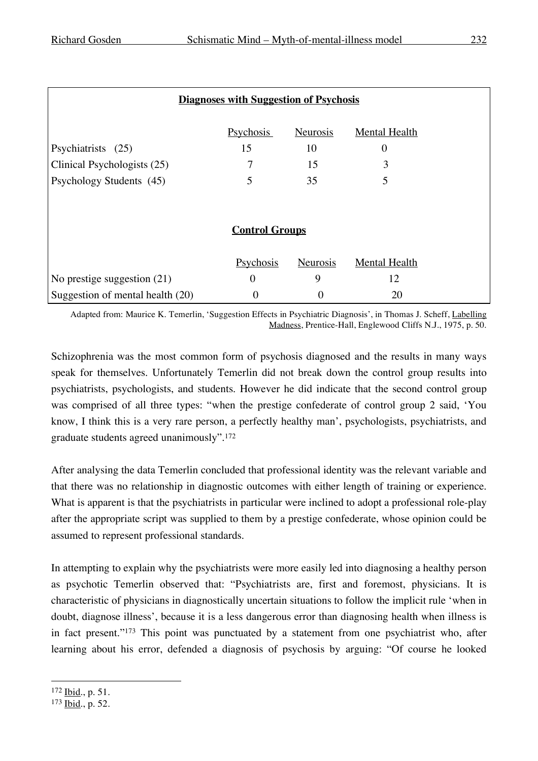| <b>Diagnoses with Suggestion of Psychosis</b> |                  |          |                      |  |
|-----------------------------------------------|------------------|----------|----------------------|--|
|                                               |                  |          |                      |  |
|                                               | <b>Psychosis</b> | Neurosis | <b>Mental Health</b> |  |
| Psychiatrists (25)                            | 15               | 10       | $\boldsymbol{0}$     |  |
| Clinical Psychologists (25)                   | 7                | 15       | 3                    |  |
| Psychology Students (45)                      | 5                | 35       | 5                    |  |
|                                               |                  |          |                      |  |
|                                               |                  |          |                      |  |
| <b>Control Groups</b>                         |                  |          |                      |  |
|                                               |                  |          |                      |  |
|                                               | Psychosis        | Neurosis | <b>Mental Health</b> |  |
| No prestige suggestion $(21)$                 | $\boldsymbol{0}$ | 9        | 12                   |  |
| Suggestion of mental health (20)              | 0                | 0        | 20                   |  |

Adapted from: Maurice K. Temerlin, 'Suggestion Effects in Psychiatric Diagnosis', in Thomas J. Scheff, Labelling Madness, Prentice-Hall, Englewood Cliffs N.J., 1975, p. 50.

Schizophrenia was the most common form of psychosis diagnosed and the results in many ways speak for themselves. Unfortunately Temerlin did not break down the control group results into psychiatrists, psychologists, and students. However he did indicate that the second control group was comprised of all three types: "when the prestige confederate of control group 2 said, 'You know, I think this is a very rare person, a perfectly healthy man', psychologists, psychiatrists, and graduate students agreed unanimously".172

After analysing the data Temerlin concluded that professional identity was the relevant variable and that there was no relationship in diagnostic outcomes with either length of training or experience. What is apparent is that the psychiatrists in particular were inclined to adopt a professional role-play after the appropriate script was supplied to them by a prestige confederate, whose opinion could be assumed to represent professional standards.

In attempting to explain why the psychiatrists were more easily led into diagnosing a healthy person as psychotic Temerlin observed that: "Psychiatrists are, first and foremost, physicians. It is characteristic of physicians in diagnostically uncertain situations to follow the implicit rule 'when in doubt, diagnose illness', because it is a less dangerous error than diagnosing health when illness is in fact present."173 This point was punctuated by a statement from one psychiatrist who, after learning about his error, defended a diagnosis of psychosis by arguing: "Of course he looked

 <sup>172</sup> Ibid., p. 51.

<sup>173</sup> Ibid., p. 52.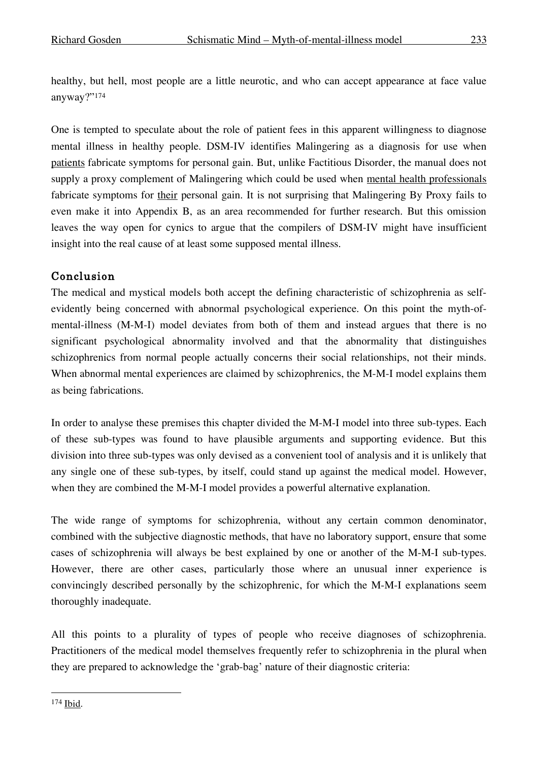healthy, but hell, most people are a little neurotic, and who can accept appearance at face value anyway?"174

One is tempted to speculate about the role of patient fees in this apparent willingness to diagnose mental illness in healthy people. DSM-IV identifies Malingering as a diagnosis for use when patients fabricate symptoms for personal gain. But, unlike Factitious Disorder, the manual does not supply a proxy complement of Malingering which could be used when mental health professionals fabricate symptoms for their personal gain. It is not surprising that Malingering By Proxy fails to even make it into Appendix B, as an area recommended for further research. But this omission leaves the way open for cynics to argue that the compilers of DSM-IV might have insufficient insight into the real cause of at least some supposed mental illness.

## Conclusion

The medical and mystical models both accept the defining characteristic of schizophrenia as selfevidently being concerned with abnormal psychological experience. On this point the myth-ofmental-illness (M-M-I) model deviates from both of them and instead argues that there is no significant psychological abnormality involved and that the abnormality that distinguishes schizophrenics from normal people actually concerns their social relationships, not their minds. When abnormal mental experiences are claimed by schizophrenics, the M-M-I model explains them as being fabrications.

In order to analyse these premises this chapter divided the M-M-I model into three sub-types. Each of these sub-types was found to have plausible arguments and supporting evidence. But this division into three sub-types was only devised as a convenient tool of analysis and it is unlikely that any single one of these sub-types, by itself, could stand up against the medical model. However, when they are combined the M-M-I model provides a powerful alternative explanation.

The wide range of symptoms for schizophrenia, without any certain common denominator, combined with the subjective diagnostic methods, that have no laboratory support, ensure that some cases of schizophrenia will always be best explained by one or another of the M-M-I sub-types. However, there are other cases, particularly those where an unusual inner experience is convincingly described personally by the schizophrenic, for which the M-M-I explanations seem thoroughly inadequate.

All this points to a plurality of types of people who receive diagnoses of schizophrenia. Practitioners of the medical model themselves frequently refer to schizophrenia in the plural when they are prepared to acknowledge the 'grab-bag' nature of their diagnostic criteria:

 <sup>174</sup> Ibid.